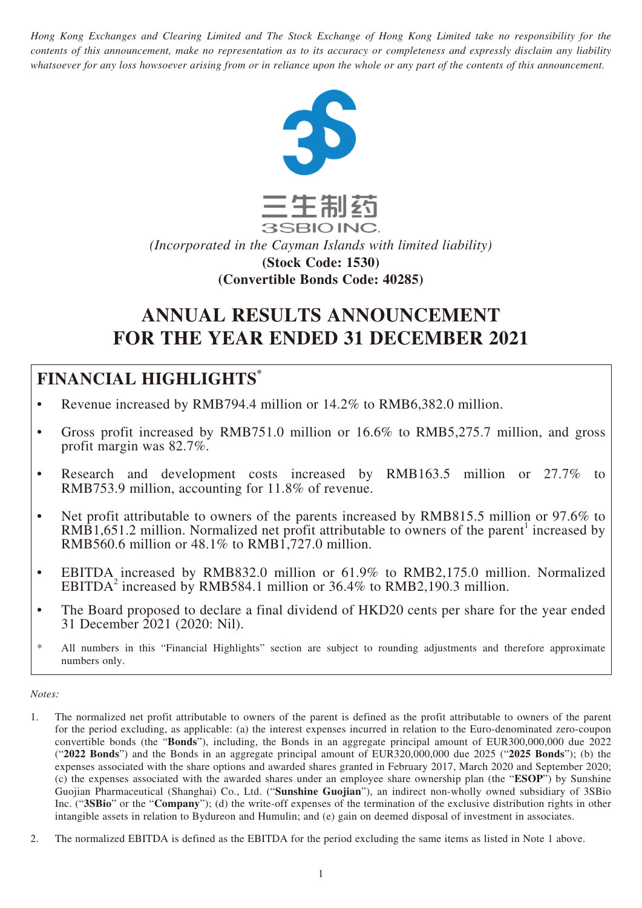*Hong Kong Exchanges and Clearing Limited and The Stock Exchange of Hong Kong Limited take no responsibility for the contents of this announcement, make no representation as to its accuracy or completeness and expressly disclaim any liability whatsoever for any loss howsoever arising from or in reliance upon the whole or any part of the contents of this announcement.*





*(Incorporated in the Cayman Islands with limited liability)* **(Stock Code: 1530) (Convertible Bonds Code: 40285)**

# **ANNUAL RESULTS ANNOUNCEMENT FOR THE YEAR ENDED 31 DECEMBER 2021**

# **FINANCIAL HIGHLIGHTS\***

- Revenue increased by RMB794.4 million or 14.2% to RMB6,382.0 million.
- Gross profit increased by RMB751.0 million or 16.6% to RMB5,275.7 million, and gross profit margin was 82.7%.
- Research and development costs increased by RMB163.5 million or 27.7% to RMB753.9 million, accounting for 11.8% of revenue.
- Net profit attributable to owners of the parents increased by RMB815.5 million or 97.6% to  $RMB1,651.2$  million. Normalized net profit attributable to owners of the parent<sup>1</sup> increased by RMB560.6 million or 48.1% to RMB1,727.0 million.
- EBITDA increased by RMB832.0 million or 61.9% to RMB2,175.0 million. Normalized EBITDA<sup>2</sup> increased by RMB584.1 million or 36.4% to RMB2,190.3 million.
- The Board proposed to declare a final dividend of HKD20 cents per share for the year ended 31 December 2021 (2020: Nil).
- \* All numbers in this "Financial Highlights" section are subject to rounding adjustments and therefore approximate numbers only.

#### *Notes:*

- 1. The normalized net profit attributable to owners of the parent is defined as the profit attributable to owners of the parent for the period excluding, as applicable: (a) the interest expenses incurred in relation to the Euro-denominated zero-coupon convertible bonds (the "**Bonds**"), including, the Bonds in an aggregate principal amount of EUR300,000,000 due 2022 ("**2022 Bonds**") and the Bonds in an aggregate principal amount of EUR320,000,000 due 2025 ("**2025 Bonds**"); (b) the expenses associated with the share options and awarded shares granted in February 2017, March 2020 and September 2020; (c) the expenses associated with the awarded shares under an employee share ownership plan (the "**ESOP**") by Sunshine Guojian Pharmaceutical (Shanghai) Co., Ltd. ("**Sunshine Guojian**"), an indirect non-wholly owned subsidiary of 3SBio Inc. ("**3SBio**" or the "**Company**"); (d) the write-off expenses of the termination of the exclusive distribution rights in other intangible assets in relation to Bydureon and Humulin; and (e) gain on deemed disposal of investment in associates.
- 2. The normalized EBITDA is defined as the EBITDA for the period excluding the same items as listed in Note 1 above.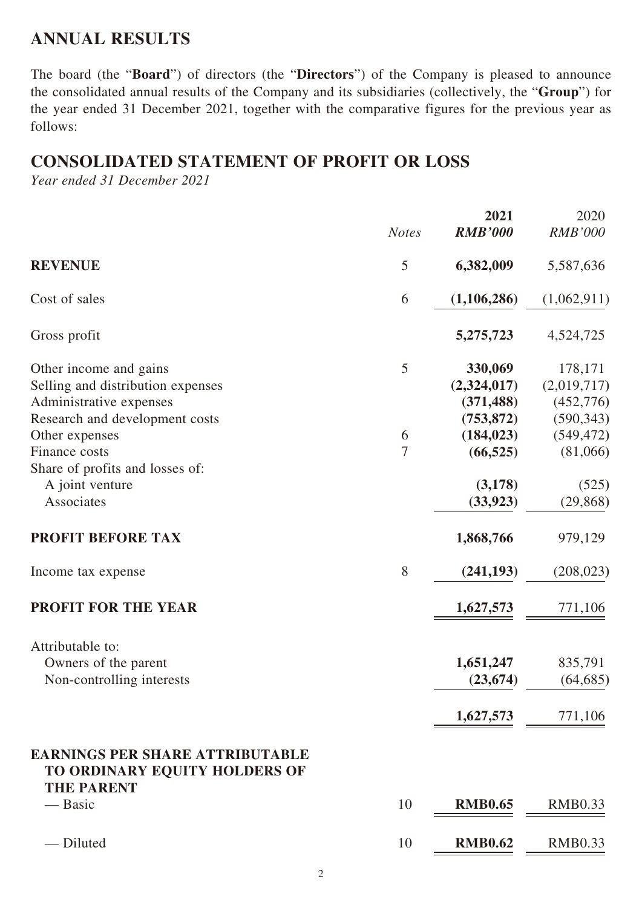# **ANNUAL RESULTS**

The board (the "**Board**") of directors (the "**Directors**") of the Company is pleased to announce the consolidated annual results of the Company and its subsidiaries (collectively, the "**Group**") for the year ended 31 December 2021, together with the comparative figures for the previous year as follows:

## **CONSOLIDATED STATEMENT OF PROFIT OR LOSS**

*Year ended 31 December 2021*

|                                                                                                      | <b>Notes</b>        | 2021<br><b>RMB'000</b>                | 2020<br><b>RMB'000</b>               |
|------------------------------------------------------------------------------------------------------|---------------------|---------------------------------------|--------------------------------------|
| <b>REVENUE</b>                                                                                       | 5                   | 6,382,009                             | 5,587,636                            |
| Cost of sales                                                                                        | 6                   | (1,106,286)                           | (1,062,911)                          |
| Gross profit                                                                                         |                     | 5,275,723                             | 4,524,725                            |
| Other income and gains<br>Selling and distribution expenses<br>Administrative expenses               | 5                   | 330,069<br>(2,324,017)<br>(371, 488)  | 178,171<br>(2,019,717)<br>(452, 776) |
| Research and development costs<br>Other expenses<br>Finance costs<br>Share of profits and losses of: | 6<br>$\overline{7}$ | (753, 872)<br>(184, 023)<br>(66, 525) | (590, 343)<br>(549, 472)<br>(81,066) |
| A joint venture<br>Associates                                                                        |                     | (3,178)<br>(33, 923)                  | (525)<br>(29, 868)                   |
| <b>PROFIT BEFORE TAX</b>                                                                             |                     | 1,868,766                             | 979,129                              |
| Income tax expense                                                                                   | 8                   | (241, 193)                            | (208, 023)                           |
| PROFIT FOR THE YEAR                                                                                  |                     | 1,627,573                             | 771,106                              |
| Attributable to:<br>Owners of the parent<br>Non-controlling interests                                |                     | 1,651,247<br>(23, 674)                | 835,791<br>(64, 685)                 |
|                                                                                                      |                     | 1,627,573                             | 771,106                              |
| <b>EARNINGS PER SHARE ATTRIBUTABLE</b><br>TO ORDINARY EQUITY HOLDERS OF<br><b>THE PARENT</b>         |                     |                                       |                                      |
| — Basic                                                                                              | 10                  | <b>RMB0.65</b>                        | <b>RMB0.33</b>                       |
| Diluted                                                                                              | 10                  | <b>RMB0.62</b>                        | <b>RMB0.33</b>                       |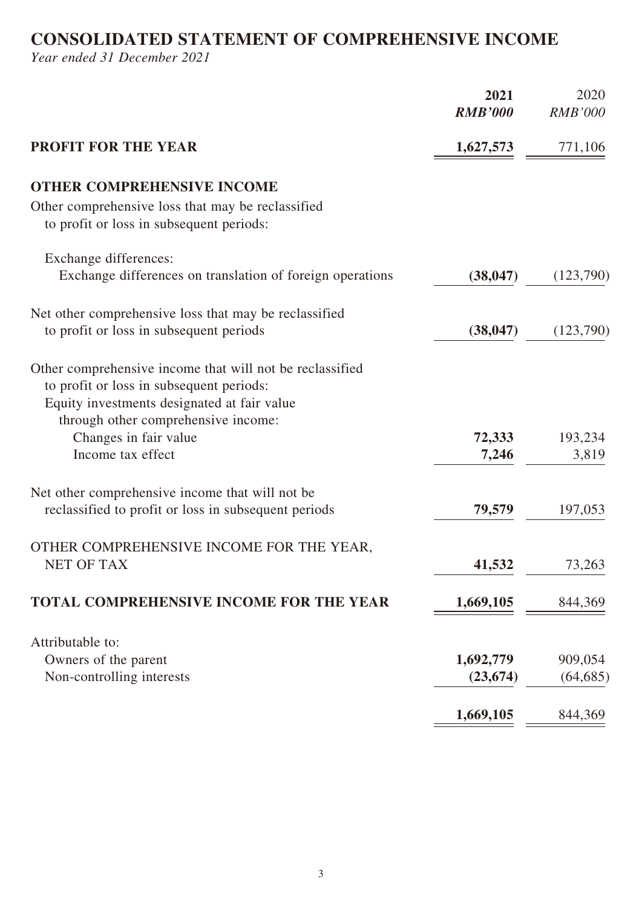# **CONSOLIDATED STATEMENT OF COMPREHENSIVE INCOME**

*Year ended 31 December 2021*

|                                                                                                                                                                                            | 2021<br><b>RMB'000</b> | 2020<br><b>RMB'000</b> |
|--------------------------------------------------------------------------------------------------------------------------------------------------------------------------------------------|------------------------|------------------------|
| <b>PROFIT FOR THE YEAR</b>                                                                                                                                                                 | 1,627,573              | 771,106                |
| <b>OTHER COMPREHENSIVE INCOME</b>                                                                                                                                                          |                        |                        |
| Other comprehensive loss that may be reclassified<br>to profit or loss in subsequent periods:                                                                                              |                        |                        |
| Exchange differences:                                                                                                                                                                      |                        |                        |
| Exchange differences on translation of foreign operations                                                                                                                                  | (38, 047)              | (123,790)              |
| Net other comprehensive loss that may be reclassified                                                                                                                                      |                        |                        |
| to profit or loss in subsequent periods                                                                                                                                                    | (38, 047)              | (123,790)              |
| Other comprehensive income that will not be reclassified<br>to profit or loss in subsequent periods:<br>Equity investments designated at fair value<br>through other comprehensive income: |                        |                        |
| Changes in fair value<br>Income tax effect                                                                                                                                                 | 72,333<br>7,246        | 193,234<br>3,819       |
|                                                                                                                                                                                            |                        |                        |
| Net other comprehensive income that will not be<br>reclassified to profit or loss in subsequent periods                                                                                    | 79,579                 | 197,053                |
| OTHER COMPREHENSIVE INCOME FOR THE YEAR,<br><b>NET OF TAX</b>                                                                                                                              | 41,532                 | 73,263                 |
| <b>TOTAL COMPREHENSIVE INCOME FOR THE YEAR</b>                                                                                                                                             | 1,669,105              | 844,369                |
| Attributable to:                                                                                                                                                                           |                        |                        |
| Owners of the parent                                                                                                                                                                       | 1,692,779              | 909,054                |
| Non-controlling interests                                                                                                                                                                  | (23, 674)              | (64, 685)              |
|                                                                                                                                                                                            | 1,669,105              | 844,369                |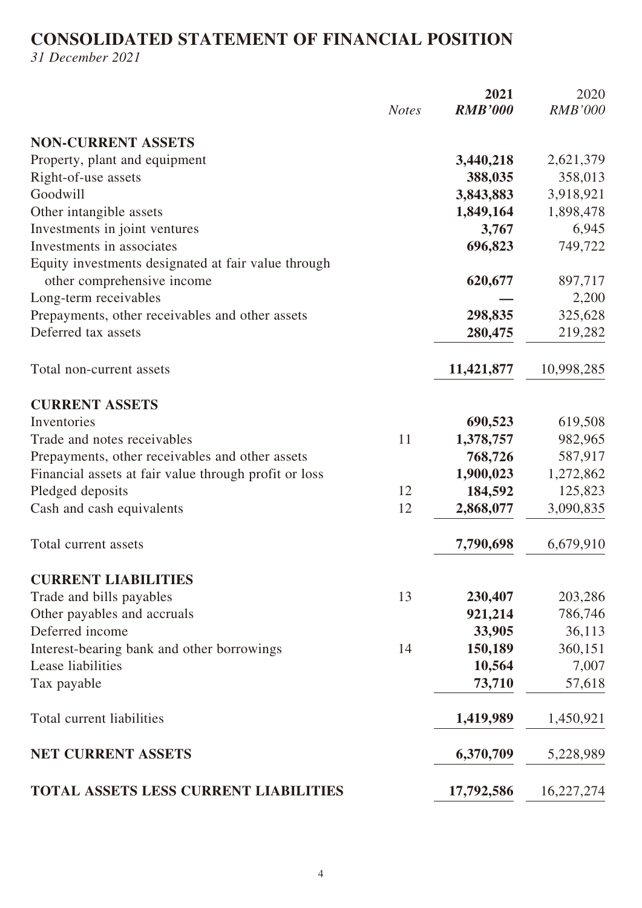# **CONSOLIDATED STATEMENT OF FINANCIAL POSITION**

*31 December 2021*

|                                                       | <b>Notes</b> | 2021<br><b>RMB'000</b> | 2020<br><b>RMB'000</b> |
|-------------------------------------------------------|--------------|------------------------|------------------------|
| <b>NON-CURRENT ASSETS</b>                             |              |                        |                        |
| Property, plant and equipment                         |              | 3,440,218              | 2,621,379              |
| Right-of-use assets                                   |              | 388,035                | 358,013                |
| Goodwill                                              |              | 3,843,883              | 3,918,921              |
| Other intangible assets                               |              | 1,849,164              | 1,898,478              |
| Investments in joint ventures                         |              | 3,767                  | 6,945                  |
| Investments in associates                             |              | 696,823                | 749,722                |
| Equity investments designated at fair value through   |              |                        |                        |
| other comprehensive income                            |              | 620,677                | 897,717                |
| Long-term receivables                                 |              |                        | 2,200                  |
| Prepayments, other receivables and other assets       |              | 298,835                | 325,628                |
| Deferred tax assets                                   |              | 280,475                | 219,282                |
| Total non-current assets                              |              | 11,421,877             | 10,998,285             |
| <b>CURRENT ASSETS</b>                                 |              |                        |                        |
| Inventories                                           |              | 690,523                | 619,508                |
| Trade and notes receivables                           | 11           | 1,378,757              | 982,965                |
| Prepayments, other receivables and other assets       |              | 768,726                | 587,917                |
| Financial assets at fair value through profit or loss |              | 1,900,023              | 1,272,862              |
| Pledged deposits                                      | 12           | 184,592                | 125,823                |
| Cash and cash equivalents                             | 12           | 2,868,077              | 3,090,835              |
| Total current assets                                  |              | 7,790,698              | 6,679,910              |
| <b>CURRENT LIABILITIES</b>                            |              |                        |                        |
| Trade and bills payables                              | 13           | 230,407                | 203,286                |
| Other payables and accruals                           |              | 921,214                | 786,746                |
| Deferred income                                       |              | 33,905                 | 36,113                 |
| Interest-bearing bank and other borrowings            | 14           | 150,189                | 360,151                |
| Lease liabilities                                     |              | 10,564                 | 7,007                  |
| Tax payable                                           |              | 73,710                 | 57,618                 |
| Total current liabilities                             |              | 1,419,989              | 1,450,921              |
| <b>NET CURRENT ASSETS</b>                             |              | 6,370,709              | 5,228,989              |
| <b>TOTAL ASSETS LESS CURRENT LIABILITIES</b>          |              | 17,792,586             | 16,227,274             |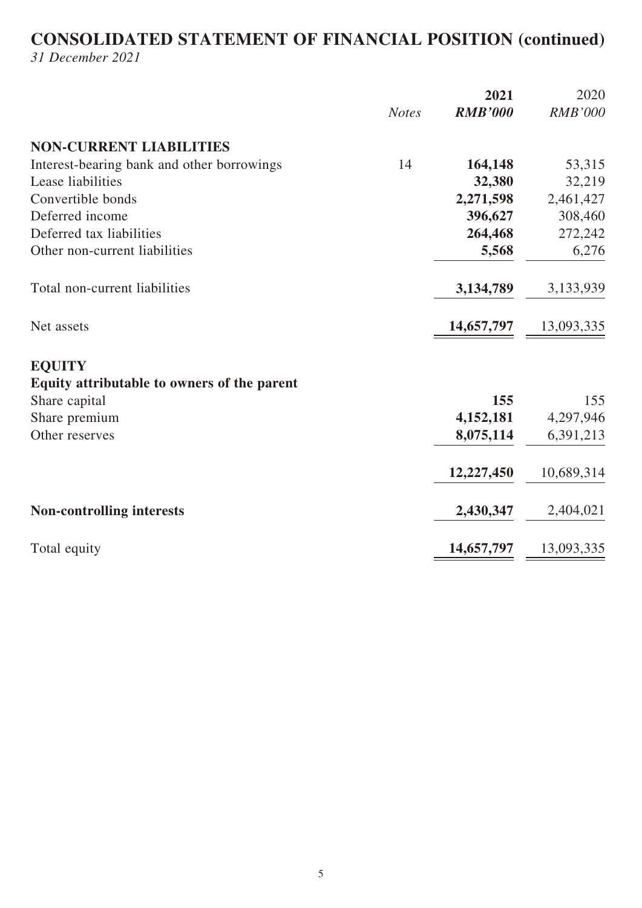## **CONSOLIDATED STATEMENT OF FINANCIAL POSITION (continued)** *31 December 2021*

|                                             |              | 2021           | 2020           |
|---------------------------------------------|--------------|----------------|----------------|
|                                             | <b>Notes</b> | <b>RMB'000</b> | <b>RMB'000</b> |
| <b>NON-CURRENT LIABILITIES</b>              |              |                |                |
| Interest-bearing bank and other borrowings  | 14           | 164,148        | 53,315         |
| Lease liabilities                           |              | 32,380         | 32,219         |
| Convertible bonds                           |              | 2,271,598      | 2,461,427      |
| Deferred income                             |              | 396,627        | 308,460        |
| Deferred tax liabilities                    |              | 264,468        | 272,242        |
| Other non-current liabilities               |              | 5,568          | 6,276          |
| Total non-current liabilities               |              | 3,134,789      | 3,133,939      |
| Net assets                                  |              | 14,657,797     | 13,093,335     |
| <b>EQUITY</b>                               |              |                |                |
| Equity attributable to owners of the parent |              |                |                |
| Share capital                               |              | 155            | 155            |
| Share premium                               |              | 4,152,181      | 4,297,946      |
| Other reserves                              |              | 8,075,114      | 6,391,213      |
|                                             |              | 12,227,450     | 10,689,314     |
| <b>Non-controlling interests</b>            |              | 2,430,347      | 2,404,021      |
| Total equity                                |              | 14,657,797     | 13,093,335     |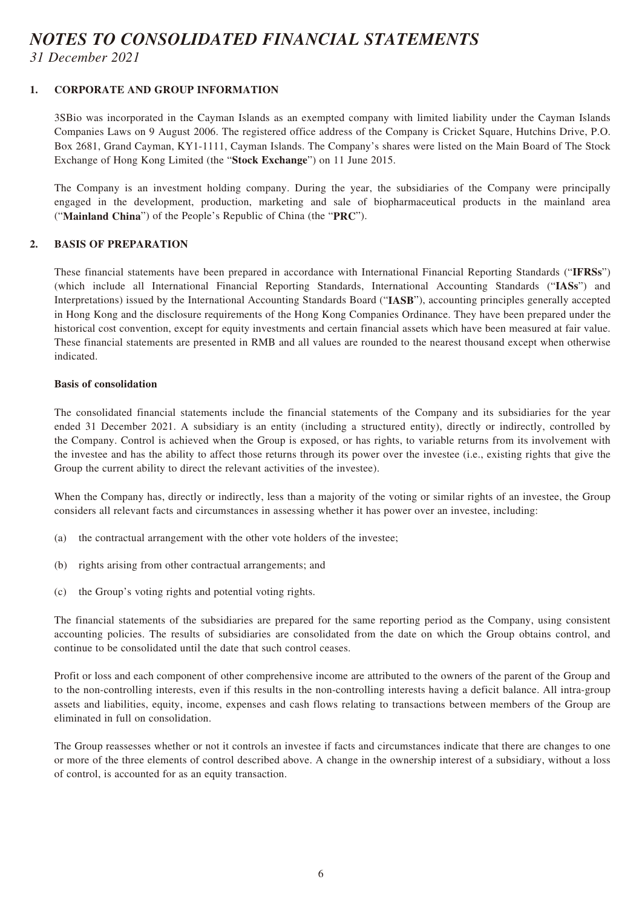## *NOTES TO CONSOLIDATED FINANCIAL STATEMENTS*

*31 December 2021*

#### **1. CORPORATE AND GROUP INFORMATION**

3SBio was incorporated in the Cayman Islands as an exempted company with limited liability under the Cayman Islands Companies Laws on 9 August 2006. The registered office address of the Company is Cricket Square, Hutchins Drive, P.O. Box 2681, Grand Cayman, KY1-1111, Cayman Islands. The Company's shares were listed on the Main Board of The Stock Exchange of Hong Kong Limited (the "**Stock Exchange**") on 11 June 2015.

The Company is an investment holding company. During the year, the subsidiaries of the Company were principally engaged in the development, production, marketing and sale of biopharmaceutical products in the mainland area ("**Mainland China**") of the People's Republic of China (the "**PRC**").

#### **2. BASIS OF PREPARATION**

These financial statements have been prepared in accordance with International Financial Reporting Standards ("**IFRSs**") (which include all International Financial Reporting Standards, International Accounting Standards ("**IASs**") and Interpretations) issued by the International Accounting Standards Board ("**IASB**"), accounting principles generally accepted in Hong Kong and the disclosure requirements of the Hong Kong Companies Ordinance. They have been prepared under the historical cost convention, except for equity investments and certain financial assets which have been measured at fair value. These financial statements are presented in RMB and all values are rounded to the nearest thousand except when otherwise indicated.

#### **Basis of consolidation**

The consolidated financial statements include the financial statements of the Company and its subsidiaries for the year ended 31 December 2021. A subsidiary is an entity (including a structured entity), directly or indirectly, controlled by the Company. Control is achieved when the Group is exposed, or has rights, to variable returns from its involvement with the investee and has the ability to affect those returns through its power over the investee (i.e., existing rights that give the Group the current ability to direct the relevant activities of the investee).

When the Company has, directly or indirectly, less than a majority of the voting or similar rights of an investee, the Group considers all relevant facts and circumstances in assessing whether it has power over an investee, including:

- (a) the contractual arrangement with the other vote holders of the investee;
- (b) rights arising from other contractual arrangements; and
- (c) the Group's voting rights and potential voting rights.

The financial statements of the subsidiaries are prepared for the same reporting period as the Company, using consistent accounting policies. The results of subsidiaries are consolidated from the date on which the Group obtains control, and continue to be consolidated until the date that such control ceases.

Profit or loss and each component of other comprehensive income are attributed to the owners of the parent of the Group and to the non-controlling interests, even if this results in the non-controlling interests having a deficit balance. All intra-group assets and liabilities, equity, income, expenses and cash flows relating to transactions between members of the Group are eliminated in full on consolidation.

The Group reassesses whether or not it controls an investee if facts and circumstances indicate that there are changes to one or more of the three elements of control described above. A change in the ownership interest of a subsidiary, without a loss of control, is accounted for as an equity transaction.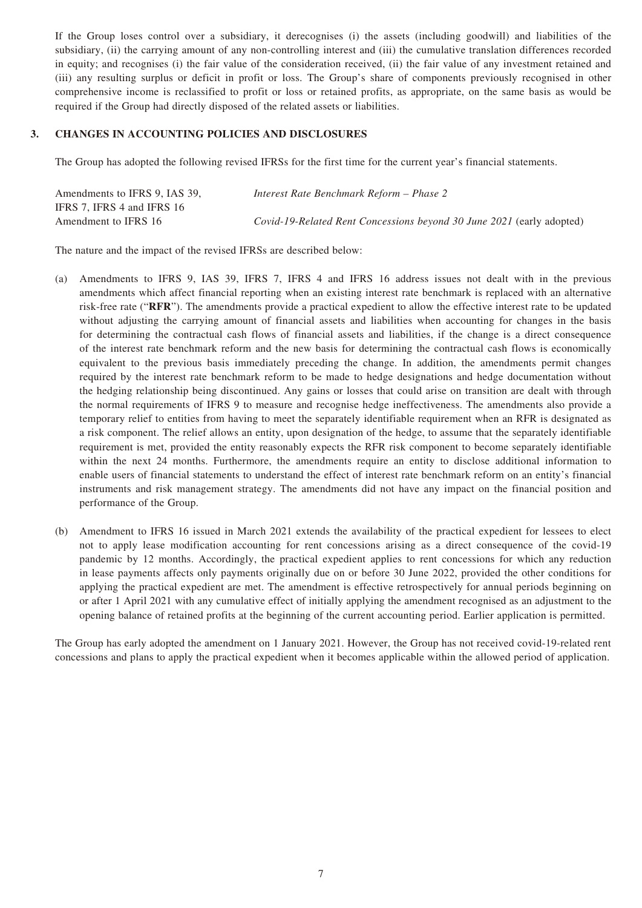If the Group loses control over a subsidiary, it derecognises (i) the assets (including goodwill) and liabilities of the subsidiary, (ii) the carrying amount of any non-controlling interest and (iii) the cumulative translation differences recorded in equity; and recognises (i) the fair value of the consideration received, (ii) the fair value of any investment retained and (iii) any resulting surplus or deficit in profit or loss. The Group's share of components previously recognised in other comprehensive income is reclassified to profit or loss or retained profits, as appropriate, on the same basis as would be required if the Group had directly disposed of the related assets or liabilities.

#### **3. CHANGES IN ACCOUNTING POLICIES AND DISCLOSURES**

The Group has adopted the following revised IFRSs for the first time for the current year's financial statements.

| Amendments to IFRS 9, IAS 39, | Interest Rate Benchmark Reform – Phase 2                              |
|-------------------------------|-----------------------------------------------------------------------|
| IFRS 7, IFRS 4 and IFRS 16    |                                                                       |
| Amendment to IFRS 16          | Covid-19-Related Rent Concessions beyond 30 June 2021 (early adopted) |

The nature and the impact of the revised IFRSs are described below:

- (a) Amendments to IFRS 9, IAS 39, IFRS 7, IFRS 4 and IFRS 16 address issues not dealt with in the previous amendments which affect financial reporting when an existing interest rate benchmark is replaced with an alternative risk-free rate ("**RFR**"). The amendments provide a practical expedient to allow the effective interest rate to be updated without adjusting the carrying amount of financial assets and liabilities when accounting for changes in the basis for determining the contractual cash flows of financial assets and liabilities, if the change is a direct consequence of the interest rate benchmark reform and the new basis for determining the contractual cash flows is economically equivalent to the previous basis immediately preceding the change. In addition, the amendments permit changes required by the interest rate benchmark reform to be made to hedge designations and hedge documentation without the hedging relationship being discontinued. Any gains or losses that could arise on transition are dealt with through the normal requirements of IFRS 9 to measure and recognise hedge ineffectiveness. The amendments also provide a temporary relief to entities from having to meet the separately identifiable requirement when an RFR is designated as a risk component. The relief allows an entity, upon designation of the hedge, to assume that the separately identifiable requirement is met, provided the entity reasonably expects the RFR risk component to become separately identifiable within the next 24 months. Furthermore, the amendments require an entity to disclose additional information to enable users of financial statements to understand the effect of interest rate benchmark reform on an entity's financial instruments and risk management strategy. The amendments did not have any impact on the financial position and performance of the Group.
- (b) Amendment to IFRS 16 issued in March 2021 extends the availability of the practical expedient for lessees to elect not to apply lease modification accounting for rent concessions arising as a direct consequence of the covid-19 pandemic by 12 months. Accordingly, the practical expedient applies to rent concessions for which any reduction in lease payments affects only payments originally due on or before 30 June 2022, provided the other conditions for applying the practical expedient are met. The amendment is effective retrospectively for annual periods beginning on or after 1 April 2021 with any cumulative effect of initially applying the amendment recognised as an adjustment to the opening balance of retained profits at the beginning of the current accounting period. Earlier application is permitted.

The Group has early adopted the amendment on 1 January 2021. However, the Group has not received covid-19-related rent concessions and plans to apply the practical expedient when it becomes applicable within the allowed period of application.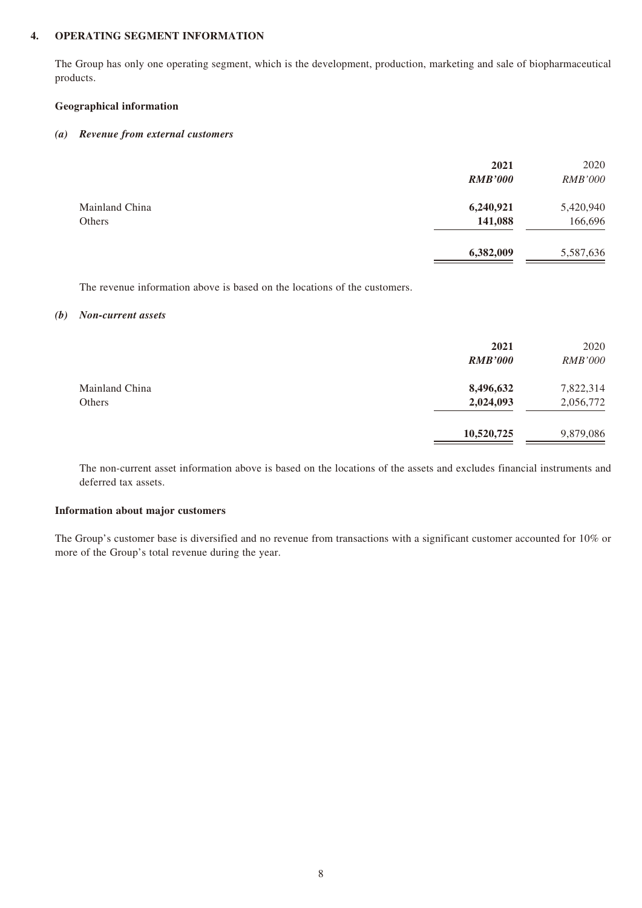#### **4. OPERATING SEGMENT INFORMATION**

The Group has only one operating segment, which is the development, production, marketing and sale of biopharmaceutical products.

#### **Geographical information**

#### *(a) Revenue from external customers*

|                          | 2021<br><b>RMB'000</b> | 2020<br><b>RMB'000</b> |
|--------------------------|------------------------|------------------------|
| Mainland China<br>Others | 6,240,921<br>141,088   | 5,420,940<br>166,696   |
|                          | 6,382,009              | 5,587,636              |

The revenue information above is based on the locations of the customers.

#### *(b) Non-current assets*

|                          | 2021<br><b>RMB'000</b> | 2020<br><i>RMB'000</i> |
|--------------------------|------------------------|------------------------|
| Mainland China<br>Others | 8,496,632<br>2,024,093 | 7,822,314<br>2,056,772 |
|                          | 10,520,725             | 9,879,086              |

The non-current asset information above is based on the locations of the assets and excludes financial instruments and deferred tax assets.

#### **Information about major customers**

The Group's customer base is diversified and no revenue from transactions with a significant customer accounted for 10% or more of the Group's total revenue during the year.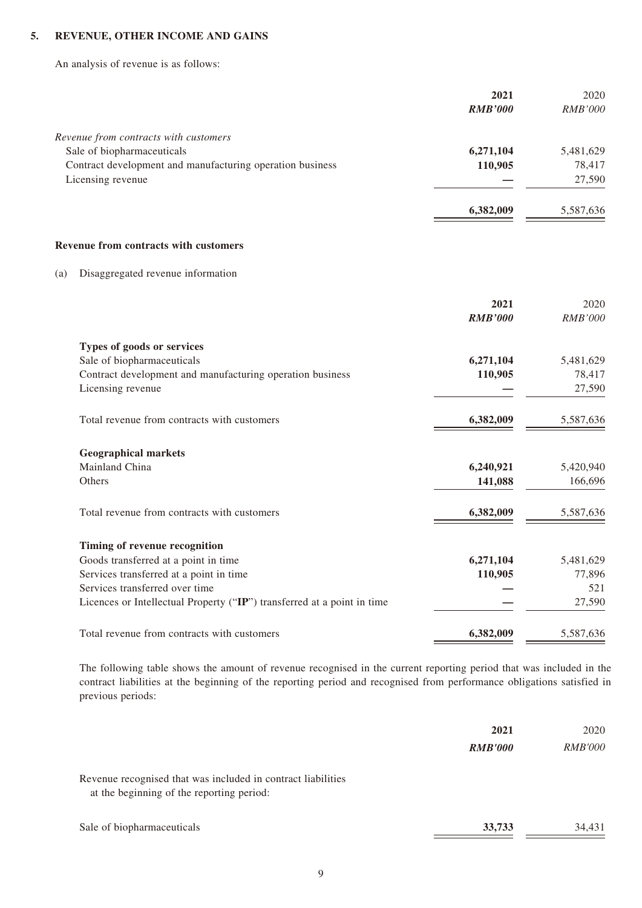#### **5. REVENUE, OTHER INCOME AND GAINS**

An analysis of revenue is as follows:

|                                                           | 2021<br><b>RMB'000</b> | 2020<br><b>RMB'000</b> |
|-----------------------------------------------------------|------------------------|------------------------|
| Revenue from contracts with customers                     |                        |                        |
| Sale of biopharmaceuticals                                | 6,271,104              | 5,481,629              |
| Contract development and manufacturing operation business | 110,905                | 78,417                 |
| Licensing revenue                                         |                        | 27,590                 |
|                                                           | 6,382,009              | 5,587,636              |

#### **Revenue from contracts with customers**

#### (a) Disaggregated revenue information

|                                                                         | 2021           | 2020           |
|-------------------------------------------------------------------------|----------------|----------------|
|                                                                         | <b>RMB'000</b> | <b>RMB'000</b> |
| Types of goods or services                                              |                |                |
| Sale of biopharmaceuticals                                              | 6,271,104      | 5,481,629      |
| Contract development and manufacturing operation business               | 110,905        | 78,417         |
| Licensing revenue                                                       |                | 27,590         |
| Total revenue from contracts with customers                             | 6,382,009      | 5,587,636      |
| <b>Geographical markets</b>                                             |                |                |
| Mainland China                                                          | 6,240,921      | 5,420,940      |
| Others                                                                  | 141,088        | 166,696        |
| Total revenue from contracts with customers                             | 6,382,009      | 5,587,636      |
| Timing of revenue recognition                                           |                |                |
| Goods transferred at a point in time                                    | 6,271,104      | 5,481,629      |
| Services transferred at a point in time                                 | 110,905        | 77,896         |
| Services transferred over time                                          |                | 521            |
| Licences or Intellectual Property ("IP") transferred at a point in time |                | 27,590         |
| Total revenue from contracts with customers                             | 6,382,009      | 5,587,636      |

The following table shows the amount of revenue recognised in the current reporting period that was included in the contract liabilities at the beginning of the reporting period and recognised from performance obligations satisfied in previous periods:

|                                                                                                           | 2021<br><b>RMB'000</b> | 2020<br><b>RMB'000</b> |
|-----------------------------------------------------------------------------------------------------------|------------------------|------------------------|
| Revenue recognised that was included in contract liabilities<br>at the beginning of the reporting period: |                        |                        |
| Sale of biopharmaceuticals                                                                                | 33,733                 | 34,431                 |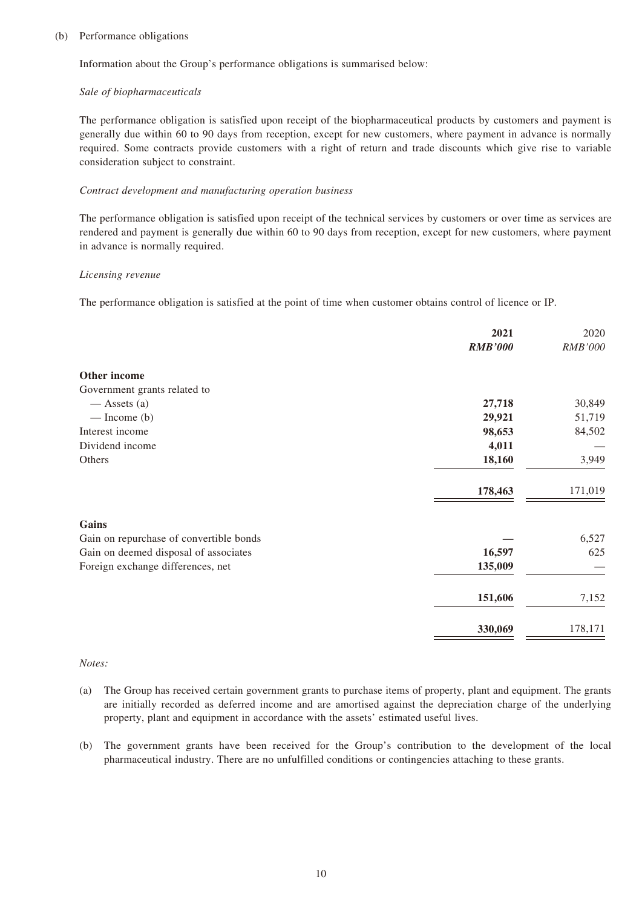#### (b) Performance obligations

Information about the Group's performance obligations is summarised below:

#### *Sale of biopharmaceuticals*

The performance obligation is satisfied upon receipt of the biopharmaceutical products by customers and payment is generally due within 60 to 90 days from reception, except for new customers, where payment in advance is normally required. Some contracts provide customers with a right of return and trade discounts which give rise to variable consideration subject to constraint.

#### *Contract development and manufacturing operation business*

The performance obligation is satisfied upon receipt of the technical services by customers or over time as services are rendered and payment is generally due within 60 to 90 days from reception, except for new customers, where payment in advance is normally required.

#### *Licensing revenue*

The performance obligation is satisfied at the point of time when customer obtains control of licence or IP.

|                                         | 2021<br><b>RMB'000</b> | 2020<br><b>RMB'000</b> |
|-----------------------------------------|------------------------|------------------------|
| Other income                            |                        |                        |
| Government grants related to            |                        |                        |
| $-$ Assets (a)                          | 27,718                 | 30,849                 |
| $-$ Income (b)                          | 29,921                 | 51,719                 |
| Interest income                         | 98,653                 | 84,502                 |
| Dividend income                         | 4,011                  |                        |
| Others                                  | 18,160                 | 3,949                  |
|                                         | 178,463                | 171,019                |
| Gains                                   |                        |                        |
| Gain on repurchase of convertible bonds |                        | 6,527                  |
| Gain on deemed disposal of associates   | 16,597                 | 625                    |
| Foreign exchange differences, net       | 135,009                |                        |
|                                         | 151,606                | 7,152                  |
|                                         | 330,069                | 178,171                |

#### *Notes:*

- (a) The Group has received certain government grants to purchase items of property, plant and equipment. The grants are initially recorded as deferred income and are amortised against the depreciation charge of the underlying property, plant and equipment in accordance with the assets' estimated useful lives.
- (b) The government grants have been received for the Group's contribution to the development of the local pharmaceutical industry. There are no unfulfilled conditions or contingencies attaching to these grants.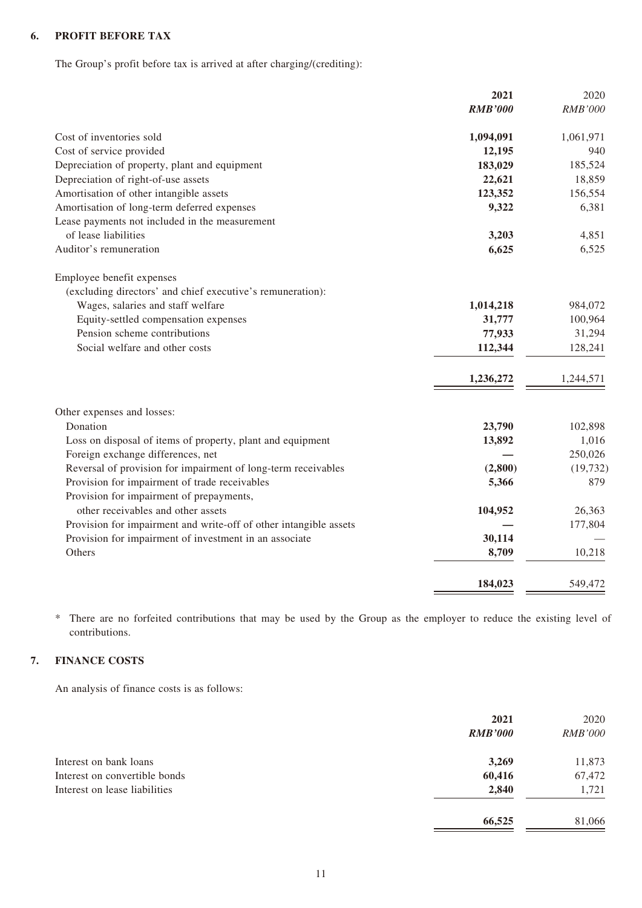#### **6. PROFIT BEFORE TAX**

The Group's profit before tax is arrived at after charging/(crediting):

|                                                                   | 2021           | 2020           |
|-------------------------------------------------------------------|----------------|----------------|
|                                                                   | <b>RMB'000</b> | <b>RMB'000</b> |
| Cost of inventories sold                                          | 1,094,091      | 1,061,971      |
| Cost of service provided                                          | 12,195         | 940            |
| Depreciation of property, plant and equipment                     | 183,029        | 185,524        |
| Depreciation of right-of-use assets                               | 22,621         | 18,859         |
| Amortisation of other intangible assets                           | 123,352        | 156,554        |
| Amortisation of long-term deferred expenses                       | 9,322          | 6,381          |
| Lease payments not included in the measurement                    |                |                |
| of lease liabilities                                              | 3,203          | 4,851          |
| Auditor's remuneration                                            | 6,625          | 6,525          |
| Employee benefit expenses                                         |                |                |
| (excluding directors' and chief executive's remuneration):        |                |                |
| Wages, salaries and staff welfare                                 | 1,014,218      | 984,072        |
| Equity-settled compensation expenses                              | 31,777         | 100,964        |
| Pension scheme contributions                                      | 77,933         | 31,294         |
| Social welfare and other costs                                    | 112,344        | 128,241        |
|                                                                   | 1,236,272      | 1,244,571      |
| Other expenses and losses:                                        |                |                |
| Donation                                                          | 23,790         | 102,898        |
| Loss on disposal of items of property, plant and equipment        | 13,892         | 1,016          |
| Foreign exchange differences, net                                 |                | 250,026        |
| Reversal of provision for impairment of long-term receivables     | (2,800)        | (19, 732)      |
| Provision for impairment of trade receivables                     | 5,366          | 879            |
| Provision for impairment of prepayments,                          |                |                |
| other receivables and other assets                                | 104,952        | 26,363         |
| Provision for impairment and write-off of other intangible assets |                | 177,804        |
| Provision for impairment of investment in an associate            | 30,114         |                |
| Others                                                            | 8,709          | 10,218         |
|                                                                   | 184,023        | 549,472        |

\* There are no forfeited contributions that may be used by the Group as the employer to reduce the existing level of contributions.

#### **7. FINANCE COSTS**

An analysis of finance costs is as follows:

|                               | 2021           | 2020           |
|-------------------------------|----------------|----------------|
|                               | <b>RMB'000</b> | <i>RMB'000</i> |
| Interest on bank loans        | 3,269          | 11,873         |
| Interest on convertible bonds | 60,416         | 67,472         |
| Interest on lease liabilities | 2,840          | 1,721          |
|                               | 66,525         | 81,066         |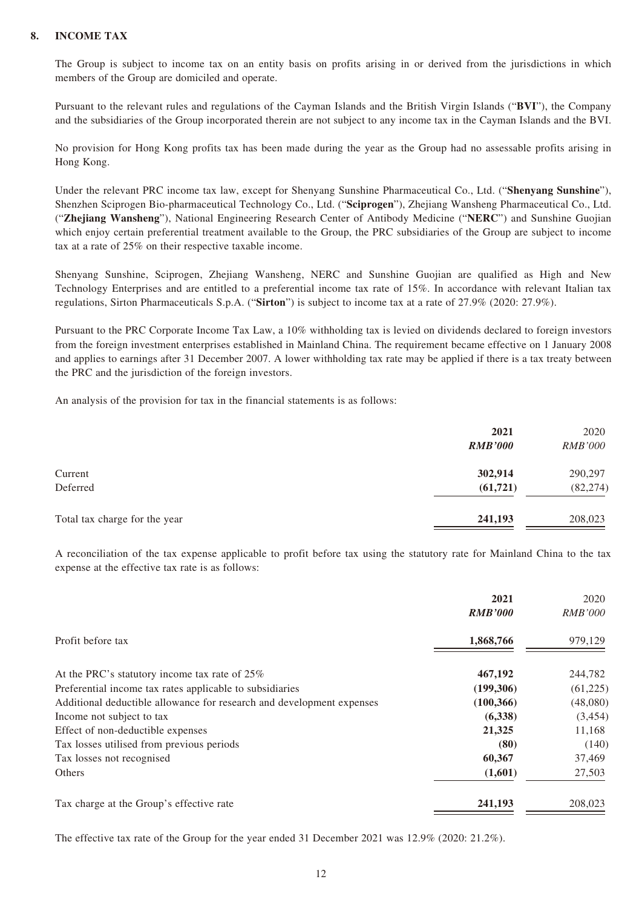#### **8. INCOME TAX**

The Group is subject to income tax on an entity basis on profits arising in or derived from the jurisdictions in which members of the Group are domiciled and operate.

Pursuant to the relevant rules and regulations of the Cayman Islands and the British Virgin Islands ("**BVI**"), the Company and the subsidiaries of the Group incorporated therein are not subject to any income tax in the Cayman Islands and the BVI.

No provision for Hong Kong profits tax has been made during the year as the Group had no assessable profits arising in Hong Kong.

Under the relevant PRC income tax law, except for Shenyang Sunshine Pharmaceutical Co., Ltd. ("**Shenyang Sunshine**"), Shenzhen Sciprogen Bio-pharmaceutical Technology Co., Ltd. ("**Sciprogen**"), Zhejiang Wansheng Pharmaceutical Co., Ltd. ("**Zhejiang Wansheng**"), National Engineering Research Center of Antibody Medicine ("**NERC**") and Sunshine Guojian which enjoy certain preferential treatment available to the Group, the PRC subsidiaries of the Group are subject to income tax at a rate of 25% on their respective taxable income.

Shenyang Sunshine, Sciprogen, Zhejiang Wansheng, NERC and Sunshine Guojian are qualified as High and New Technology Enterprises and are entitled to a preferential income tax rate of 15%. In accordance with relevant Italian tax regulations, Sirton Pharmaceuticals S.p.A. ("**Sirton**") is subject to income tax at a rate of 27.9% (2020: 27.9%).

Pursuant to the PRC Corporate Income Tax Law, a 10% withholding tax is levied on dividends declared to foreign investors from the foreign investment enterprises established in Mainland China. The requirement became effective on 1 January 2008 and applies to earnings after 31 December 2007. A lower withholding tax rate may be applied if there is a tax treaty between the PRC and the jurisdiction of the foreign investors.

An analysis of the provision for tax in the financial statements is as follows:

|                               | 2021<br><b>RMB'000</b> | 2020<br><b>RMB'000</b> |
|-------------------------------|------------------------|------------------------|
| Current<br>Deferred           | 302,914<br>(61, 721)   | 290,297<br>(82, 274)   |
| Total tax charge for the year | 241,193                | 208,023                |

A reconciliation of the tax expense applicable to profit before tax using the statutory rate for Mainland China to the tax expense at the effective tax rate is as follows:

|                                                                       | 2021<br><b>RMB'000</b> | 2020<br><i>RMB'000</i> |
|-----------------------------------------------------------------------|------------------------|------------------------|
| Profit before tax                                                     | 1,868,766              | 979,129                |
| At the PRC's statutory income tax rate of 25%                         | 467,192                | 244,782                |
| Preferential income tax rates applicable to subsidiaries              | (199, 306)             | (61,225)               |
| Additional deductible allowance for research and development expenses | (100, 366)             | (48,080)               |
| Income not subject to tax                                             | (6,338)                | (3,454)                |
| Effect of non-deductible expenses                                     | 21,325                 | 11,168                 |
| Tax losses utilised from previous periods                             | (80)                   | (140)                  |
| Tax losses not recognised                                             | 60,367                 | 37,469                 |
| Others                                                                | (1,601)                | 27,503                 |
| Tax charge at the Group's effective rate                              | 241,193                | 208,023                |

The effective tax rate of the Group for the year ended 31 December 2021 was 12.9% (2020: 21.2%).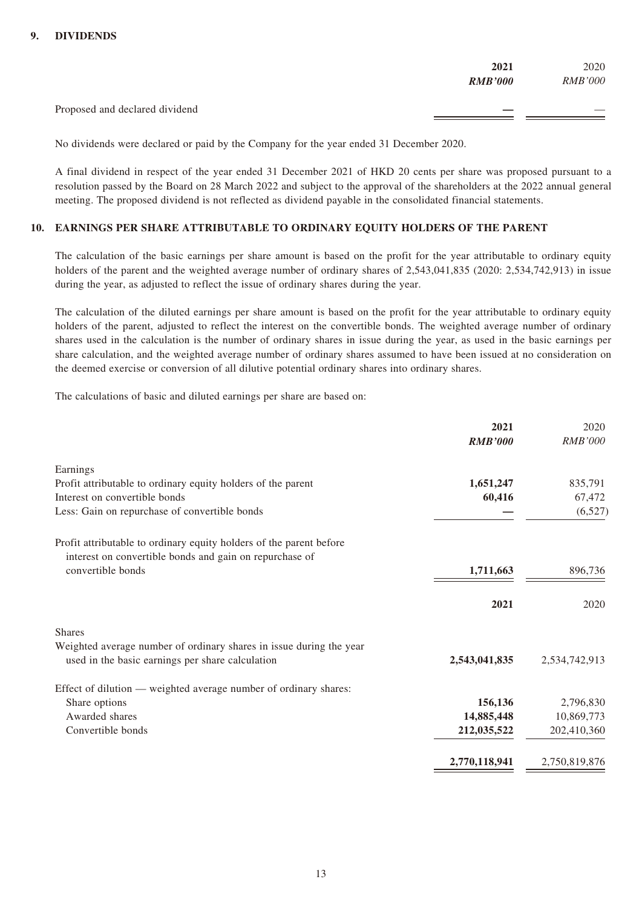#### **9. DIVIDENDS**

|                                | 2021<br><b>RMB'000</b> | 2020<br><i>RMB'000</i> |
|--------------------------------|------------------------|------------------------|
| Proposed and declared dividend |                        |                        |

No dividends were declared or paid by the Company for the year ended 31 December 2020.

A final dividend in respect of the year ended 31 December 2021 of HKD 20 cents per share was proposed pursuant to a resolution passed by the Board on 28 March 2022 and subject to the approval of the shareholders at the 2022 annual general meeting. The proposed dividend is not reflected as dividend payable in the consolidated financial statements.

#### **10. EARNINGS PER SHARE ATTRIBUTABLE TO ORDINARY EQUITY HOLDERS OF THE PARENT**

The calculation of the basic earnings per share amount is based on the profit for the year attributable to ordinary equity holders of the parent and the weighted average number of ordinary shares of 2,543,041,835 (2020: 2,534,742,913) in issue during the year, as adjusted to reflect the issue of ordinary shares during the year.

The calculation of the diluted earnings per share amount is based on the profit for the year attributable to ordinary equity holders of the parent, adjusted to reflect the interest on the convertible bonds. The weighted average number of ordinary shares used in the calculation is the number of ordinary shares in issue during the year, as used in the basic earnings per share calculation, and the weighted average number of ordinary shares assumed to have been issued at no consideration on the deemed exercise or conversion of all dilutive potential ordinary shares into ordinary shares.

The calculations of basic and diluted earnings per share are based on:

|                                                                                                                                | 2021<br><b>RMB'000</b> | 2020<br><b>RMB'000</b> |
|--------------------------------------------------------------------------------------------------------------------------------|------------------------|------------------------|
|                                                                                                                                |                        |                        |
| Earnings                                                                                                                       |                        |                        |
| Profit attributable to ordinary equity holders of the parent                                                                   | 1,651,247              | 835,791                |
| Interest on convertible bonds                                                                                                  | 60,416                 | 67,472                 |
| Less: Gain on repurchase of convertible bonds                                                                                  |                        | (6,527)                |
| Profit attributable to ordinary equity holders of the parent before<br>interest on convertible bonds and gain on repurchase of |                        |                        |
| convertible bonds                                                                                                              | 1,711,663              | 896,736                |
|                                                                                                                                | 2021                   | 2020                   |
| <b>Shares</b>                                                                                                                  |                        |                        |
| Weighted average number of ordinary shares in issue during the year                                                            |                        |                        |
| used in the basic earnings per share calculation                                                                               | 2,543,041,835          | 2,534,742,913          |
| Effect of dilution — weighted average number of ordinary shares:                                                               |                        |                        |
| Share options                                                                                                                  | 156,136                | 2,796,830              |
| Awarded shares                                                                                                                 | 14,885,448             | 10,869,773             |
| Convertible bonds                                                                                                              | 212,035,522            | 202,410,360            |
|                                                                                                                                | 2,770,118,941          | 2,750,819,876          |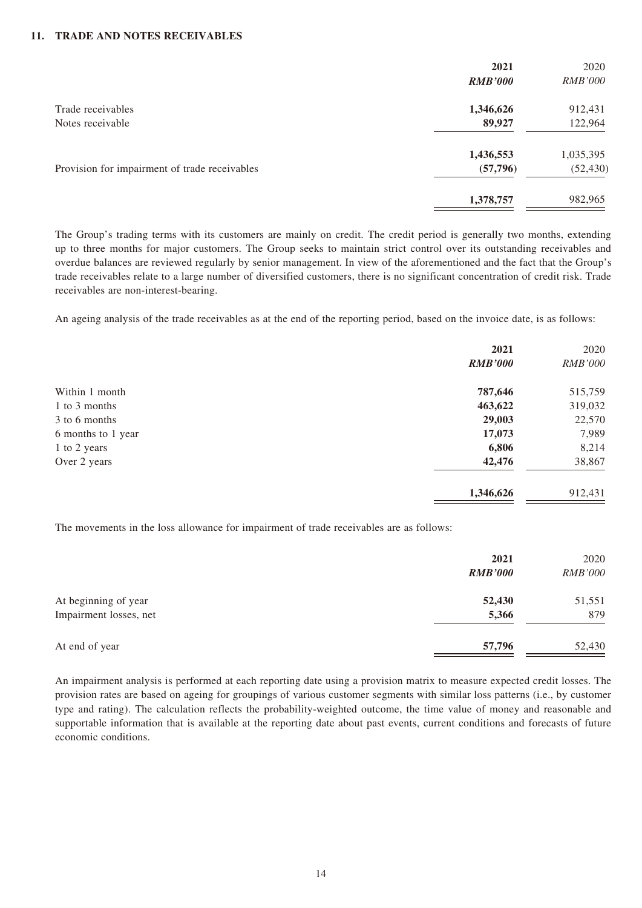#### **11. TRADE AND NOTES RECEIVABLES**

|                                               | 2021           | 2020           |
|-----------------------------------------------|----------------|----------------|
|                                               | <b>RMB'000</b> | <i>RMB'000</i> |
| Trade receivables                             | 1,346,626      | 912,431        |
| Notes receivable                              | 89,927         | 122,964        |
|                                               | 1,436,553      | 1,035,395      |
| Provision for impairment of trade receivables | (57, 796)      | (52, 430)      |
|                                               | 1,378,757      | 982,965        |

The Group's trading terms with its customers are mainly on credit. The credit period is generally two months, extending up to three months for major customers. The Group seeks to maintain strict control over its outstanding receivables and overdue balances are reviewed regularly by senior management. In view of the aforementioned and the fact that the Group's trade receivables relate to a large number of diversified customers, there is no significant concentration of credit risk. Trade receivables are non-interest-bearing.

An ageing analysis of the trade receivables as at the end of the reporting period, based on the invoice date, is as follows:

|                    | 2021<br><b>RMB'000</b> | 2020<br><i>RMB'000</i> |
|--------------------|------------------------|------------------------|
| Within 1 month     | 787,646                | 515,759                |
| 1 to 3 months      | 463,622                | 319,032                |
| 3 to 6 months      | 29,003                 | 22,570                 |
| 6 months to 1 year | 17,073                 | 7,989                  |
| 1 to 2 years       | 6,806                  | 8,214                  |
| Over 2 years       | 42,476                 | 38,867                 |
|                    | 1,346,626              | 912,431                |

The movements in the loss allowance for impairment of trade receivables are as follows:

|                        | 2021<br><b>RMB'000</b> | 2020<br><i>RMB'000</i> |
|------------------------|------------------------|------------------------|
| At beginning of year   | 52,430                 | 51,551                 |
| Impairment losses, net | 5,366                  | 879                    |
| At end of year         | 57,796                 | 52,430                 |

An impairment analysis is performed at each reporting date using a provision matrix to measure expected credit losses. The provision rates are based on ageing for groupings of various customer segments with similar loss patterns (i.e., by customer type and rating). The calculation reflects the probability-weighted outcome, the time value of money and reasonable and supportable information that is available at the reporting date about past events, current conditions and forecasts of future economic conditions.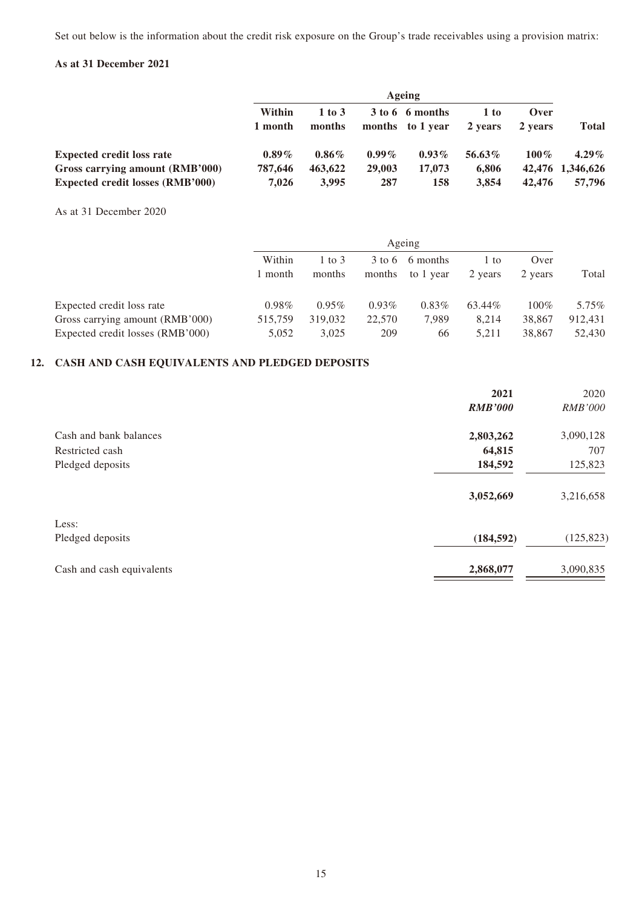Set out below is the information about the credit risk exposure on the Group's trade receivables using a provision matrix:

#### **As at 31 December 2021**

|                                         | Ageing            |                      |          |                                     |                 |                 |                  |
|-----------------------------------------|-------------------|----------------------|----------|-------------------------------------|-----------------|-----------------|------------------|
|                                         | Within<br>1 month | $1$ to $3$<br>months |          | 3 to 6 6 months<br>months to 1 year | 1~to<br>2 years | Over<br>2 years | <b>Total</b>     |
| <b>Expected credit loss rate</b>        | $0.89\%$          | $0.86\%$             | $0.99\%$ | $0.93\%$                            | $56.63\%$       | 100%            | $4.29\%$         |
| Gross carrying amount (RMB'000)         | 787,646           | 463.622              | 29,003   | 17,073                              | 6.806           |                 | 42,476 1,346,626 |
| <b>Expected credit losses (RMB'000)</b> | 7.026             | 3.995                | 287      | 158                                 | 3.854           | 42,476          | 57,796           |

As at 31 December 2020

|                                  | Ageing            |                  |          |                              |                 |                 |         |
|----------------------------------|-------------------|------------------|----------|------------------------------|-----------------|-----------------|---------|
|                                  | Within<br>1 month | 1 to 3<br>months | months   | 3 to 6 6 months<br>to 1 year | l to<br>2 years | Over<br>2 years | Total   |
| Expected credit loss rate        | $0.98\%$          | $0.95\%$         | $0.93\%$ | $0.83\%$                     | 63.44%          | $100\%$         | 5.75%   |
| Gross carrying amount (RMB'000)  | 515,759           | 319,032          | 22,570   | 7.989                        | 8.214           | 38,867          | 912,431 |
| Expected credit losses (RMB'000) | 5,052             | 3,025            | 209      | 66                           | 5,211           | 38,867          | 52,430  |

#### **12. CASH AND CASH EQUIVALENTS AND PLEDGED DEPOSITS**

|                           | 2021<br><b>RMB'000</b> | 2020<br><b>RMB'000</b> |
|---------------------------|------------------------|------------------------|
| Cash and bank balances    | 2,803,262              | 3,090,128              |
| Restricted cash           | 64,815                 | 707                    |
| Pledged deposits          | 184,592                | 125,823                |
|                           | 3,052,669              | 3,216,658              |
| Less:                     |                        |                        |
| Pledged deposits          | (184, 592)             | (125, 823)             |
| Cash and cash equivalents | 2,868,077              | 3,090,835              |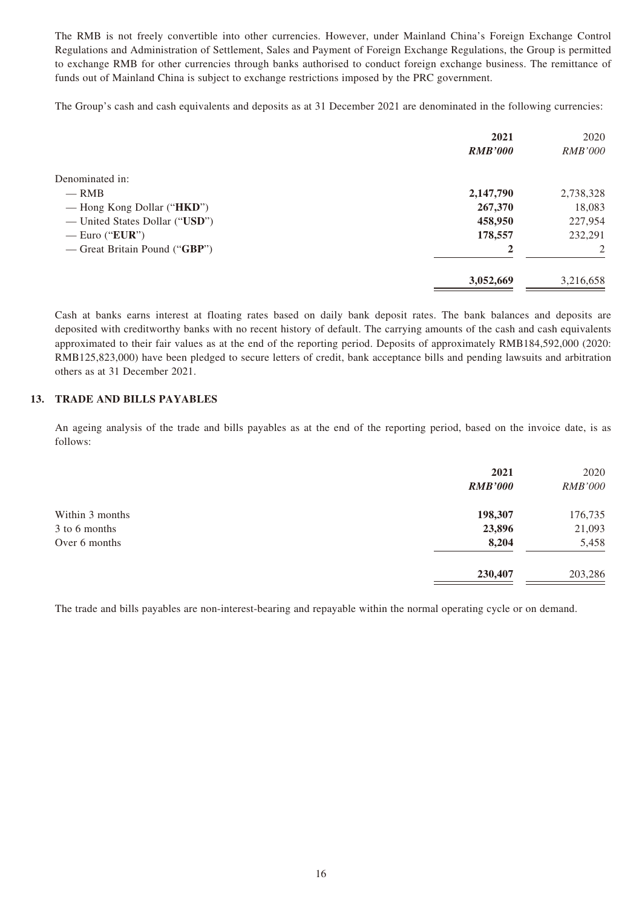The RMB is not freely convertible into other currencies. However, under Mainland China's Foreign Exchange Control Regulations and Administration of Settlement, Sales and Payment of Foreign Exchange Regulations, the Group is permitted to exchange RMB for other currencies through banks authorised to conduct foreign exchange business. The remittance of funds out of Mainland China is subject to exchange restrictions imposed by the PRC government.

The Group's cash and cash equivalents and deposits as at 31 December 2021 are denominated in the following currencies:

|                                     | 2021           | 2020           |
|-------------------------------------|----------------|----------------|
|                                     | <b>RMB'000</b> | <i>RMB'000</i> |
| Denominated in:                     |                |                |
| $-$ RMB                             | 2,147,790      | 2,738,328      |
| — Hong Kong Dollar (" <b>HKD</b> ") | 267,370        | 18,083         |
| — United States Dollar ("USD")      | 458,950        | 227,954        |
| — Euro (" $EUR$ ")                  | 178,557        | 232,291        |
| — Great Britain Pound ("GBP")       | 2              | $\mathcal{L}$  |
|                                     | 3,052,669      | 3,216,658      |

Cash at banks earns interest at floating rates based on daily bank deposit rates. The bank balances and deposits are deposited with creditworthy banks with no recent history of default. The carrying amounts of the cash and cash equivalents approximated to their fair values as at the end of the reporting period. Deposits of approximately RMB184,592,000 (2020: RMB125,823,000) have been pledged to secure letters of credit, bank acceptance bills and pending lawsuits and arbitration others as at 31 December 2021.

#### **13. TRADE AND BILLS PAYABLES**

An ageing analysis of the trade and bills payables as at the end of the reporting period, based on the invoice date, is as follows:

|                 | 2021           |                |
|-----------------|----------------|----------------|
|                 | <b>RMB'000</b> | <b>RMB'000</b> |
| Within 3 months | 198,307        | 176,735        |
| 3 to 6 months   | 23,896         | 21,093         |
| Over 6 months   | 8,204          | 5,458          |
|                 | 230,407        | 203,286        |

The trade and bills payables are non-interest-bearing and repayable within the normal operating cycle or on demand.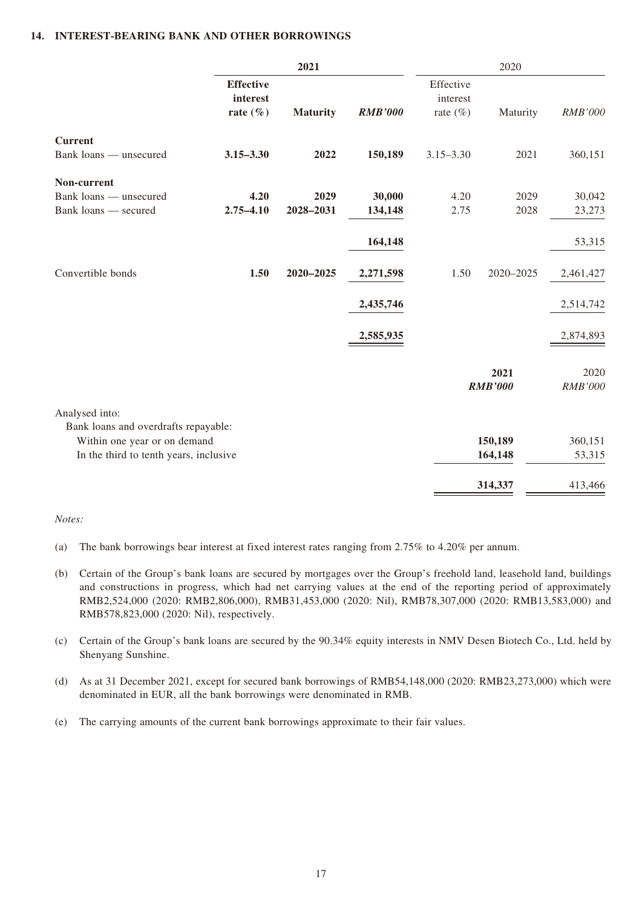#### **14. INTEREST-BEARING BANK AND OTHER BORROWINGS**

|                                                                      | 2021                                         |                   |                   | 2020                                  |                        |                        |
|----------------------------------------------------------------------|----------------------------------------------|-------------------|-------------------|---------------------------------------|------------------------|------------------------|
|                                                                      | <b>Effective</b><br>interest<br>rate $(\% )$ | <b>Maturity</b>   | <b>RMB'000</b>    | Effective<br>interest<br>rate $(\% )$ | Maturity               | RMB'000                |
| <b>Current</b><br>Bank loans — unsecured                             | $3.15 - 3.30$                                | 2022              | 150,189           | $3.15 - 3.30$                         | 2021                   | 360,151                |
|                                                                      |                                              |                   |                   |                                       |                        |                        |
| Non-current<br>Bank loans — unsecured<br>Bank loans — secured        | 4.20<br>$2.75 - 4.10$                        | 2029<br>2028-2031 | 30,000<br>134,148 | 4.20<br>2.75                          | 2029<br>2028           | 30,042<br>23,273       |
|                                                                      |                                              |                   |                   |                                       |                        |                        |
|                                                                      |                                              |                   | 164,148           |                                       |                        | 53,315                 |
| Convertible bonds                                                    | 1.50                                         | 2020-2025         | 2,271,598         | 1.50                                  | 2020-2025              | 2,461,427              |
|                                                                      |                                              |                   | 2,435,746         |                                       |                        | 2,514,742              |
|                                                                      |                                              |                   | 2,585,935         |                                       |                        | 2,874,893              |
|                                                                      |                                              |                   |                   |                                       | 2021<br><b>RMB'000</b> | 2020<br><b>RMB'000</b> |
| Analysed into:                                                       |                                              |                   |                   |                                       |                        |                        |
| Bank loans and overdrafts repayable:<br>Within one year or on demand |                                              |                   |                   |                                       | 150,189                | 360,151                |
| In the third to tenth years, inclusive                               |                                              |                   |                   | 164,148                               |                        | 53,315                 |
|                                                                      |                                              |                   |                   |                                       | 314,337                | 413,466                |

#### *Notes:*

- (a) The bank borrowings bear interest at fixed interest rates ranging from 2.75% to 4.20% per annum.
- (b) Certain of the Group's bank loans are secured by mortgages over the Group's freehold land, leasehold land, buildings and constructions in progress, which had net carrying values at the end of the reporting period of approximately RMB2,524,000 (2020: RMB2,806,000), RMB31,453,000 (2020: Nil), RMB78,307,000 (2020: RMB13,583,000) and RMB578,823,000 (2020: Nil), respectively.
- (c) Certain of the Group's bank loans are secured by the 90.34% equity interests in NMV Desen Biotech Co., Ltd. held by Shenyang Sunshine.
- (d) As at 31 December 2021, except for secured bank borrowings of RMB54,148,000 (2020: RMB23,273,000) which were denominated in EUR, all the bank borrowings were denominated in RMB.
- (e) The carrying amounts of the current bank borrowings approximate to their fair values.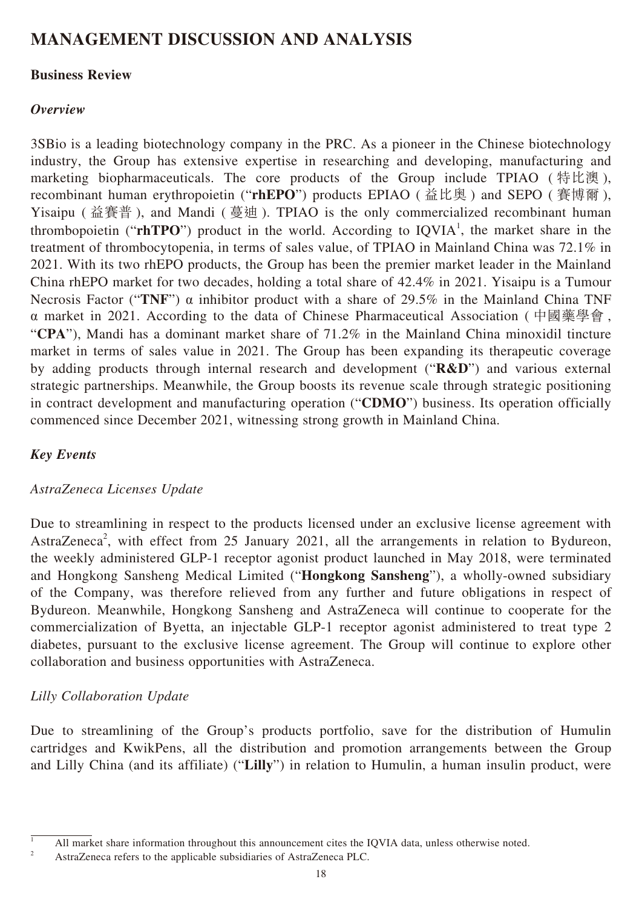# **MANAGEMENT DISCUSSION AND ANALYSIS**

#### **Business Review**

#### *Overview*

3SBio is a leading biotechnology company in the PRC. As a pioneer in the Chinese biotechnology industry, the Group has extensive expertise in researching and developing, manufacturing and marketing biopharmaceuticals. The core products of the Group include TPIAO ( 特比澳 ), recombinant human erythropoietin ("**rhEPO**") products EPIAO ( 益比奥 ) and SEPO ( 賽博爾 ), Yisaipu ( 益賽普 ), and Mandi ( 蔓迪 ). TPIAO is the only commercialized recombinant human thrombopoietin (" $r h T P O$ ") product in the world. According to  $IQ V I A<sup>1</sup>$ , the market share in the treatment of thrombocytopenia, in terms of sales value, of TPIAO in Mainland China was 72.1% in 2021. With its two rhEPO products, the Group has been the premier market leader in the Mainland China rhEPO market for two decades, holding a total share of 42.4% in 2021. Yisaipu is a Tumour Necrosis Factor ("**TNF**") α inhibitor product with a share of 29.5% in the Mainland China TNF α market in 2021. According to the data of Chinese Pharmaceutical Association ( 中國藥學會 , "**CPA**"), Mandi has a dominant market share of 71.2% in the Mainland China minoxidil tincture market in terms of sales value in 2021. The Group has been expanding its therapeutic coverage by adding products through internal research and development ("**R&D**") and various external strategic partnerships. Meanwhile, the Group boosts its revenue scale through strategic positioning in contract development and manufacturing operation ("**CDMO**") business. Its operation officially commenced since December 2021, witnessing strong growth in Mainland China.

## *Key Events*

#### *AstraZeneca Licenses Update*

Due to streamlining in respect to the products licensed under an exclusive license agreement with AstraZeneca<sup>2</sup>, with effect from 25 January 2021, all the arrangements in relation to Bydureon, the weekly administered GLP-1 receptor agonist product launched in May 2018, were terminated and Hongkong Sansheng Medical Limited ("**Hongkong Sansheng**"), a wholly-owned subsidiary of the Company, was therefore relieved from any further and future obligations in respect of Bydureon. Meanwhile, Hongkong Sansheng and AstraZeneca will continue to cooperate for the commercialization of Byetta, an injectable GLP-1 receptor agonist administered to treat type 2 diabetes, pursuant to the exclusive license agreement. The Group will continue to explore other collaboration and business opportunities with AstraZeneca.

#### *Lilly Collaboration Update*

Due to streamlining of the Group's products portfolio, save for the distribution of Humulin cartridges and KwikPens, all the distribution and promotion arrangements between the Group and Lilly China (and its affiliate) ("**Lilly**") in relation to Humulin, a human insulin product, were

 $\frac{1}{1}$  All market share information throughout this announcement cites the IQVIA data, unless otherwise noted.

<sup>2</sup> AstraZeneca refers to the applicable subsidiaries of AstraZeneca PLC.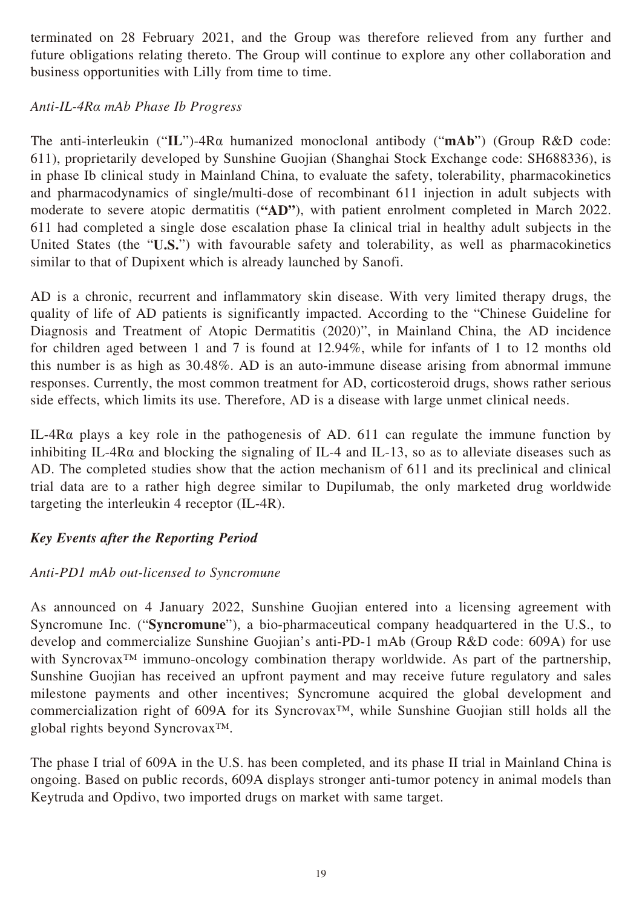terminated on 28 February 2021, and the Group was therefore relieved from any further and future obligations relating thereto. The Group will continue to explore any other collaboration and business opportunities with Lilly from time to time.

## *Anti-IL-4Rα mAb Phase Ib Progress*

The anti-interleukin ("**IL**")-4Rα humanized monoclonal antibody ("**mAb**") (Group R&D code: 611), proprietarily developed by Sunshine Guojian (Shanghai Stock Exchange code: SH688336), is in phase Ib clinical study in Mainland China, to evaluate the safety, tolerability, pharmacokinetics and pharmacodynamics of single/multi-dose of recombinant 611 injection in adult subjects with moderate to severe atopic dermatitis (**"AD"**), with patient enrolment completed in March 2022. 611 had completed a single dose escalation phase Ia clinical trial in healthy adult subjects in the United States (the "**U.S.**") with favourable safety and tolerability, as well as pharmacokinetics similar to that of Dupixent which is already launched by Sanofi.

AD is a chronic, recurrent and inflammatory skin disease. With very limited therapy drugs, the quality of life of AD patients is significantly impacted. According to the "Chinese Guideline for Diagnosis and Treatment of Atopic Dermatitis (2020)", in Mainland China, the AD incidence for children aged between 1 and 7 is found at 12.94%, while for infants of 1 to 12 months old this number is as high as 30.48%. AD is an auto-immune disease arising from abnormal immune responses. Currently, the most common treatment for AD, corticosteroid drugs, shows rather serious side effects, which limits its use. Therefore, AD is a disease with large unmet clinical needs.

IL-4Rα plays a key role in the pathogenesis of AD. 611 can regulate the immune function by inhibiting IL-4R $\alpha$  and blocking the signaling of IL-4 and IL-13, so as to alleviate diseases such as AD. The completed studies show that the action mechanism of 611 and its preclinical and clinical trial data are to a rather high degree similar to Dupilumab, the only marketed drug worldwide targeting the interleukin 4 receptor (IL-4R).

## *Key Events after the Reporting Period*

#### *Anti-PD1 mAb out-licensed to Syncromune*

As announced on 4 January 2022, Sunshine Guojian entered into a licensing agreement with Syncromune Inc. ("**Syncromune**"), a bio-pharmaceutical company headquartered in the U.S., to develop and commercialize Sunshine Guojian's anti-PD-1 mAb (Group R&D code: 609A) for use with Syncrovax<sup>™</sup> immuno-oncology combination therapy worldwide. As part of the partnership, Sunshine Guojian has received an upfront payment and may receive future regulatory and sales milestone payments and other incentives; Syncromune acquired the global development and commercialization right of 609A for its Syncrovax™, while Sunshine Guojian still holds all the global rights beyond Syncrovax™.

The phase I trial of 609A in the U.S. has been completed, and its phase II trial in Mainland China is ongoing. Based on public records, 609A displays stronger anti-tumor potency in animal models than Keytruda and Opdivo, two imported drugs on market with same target.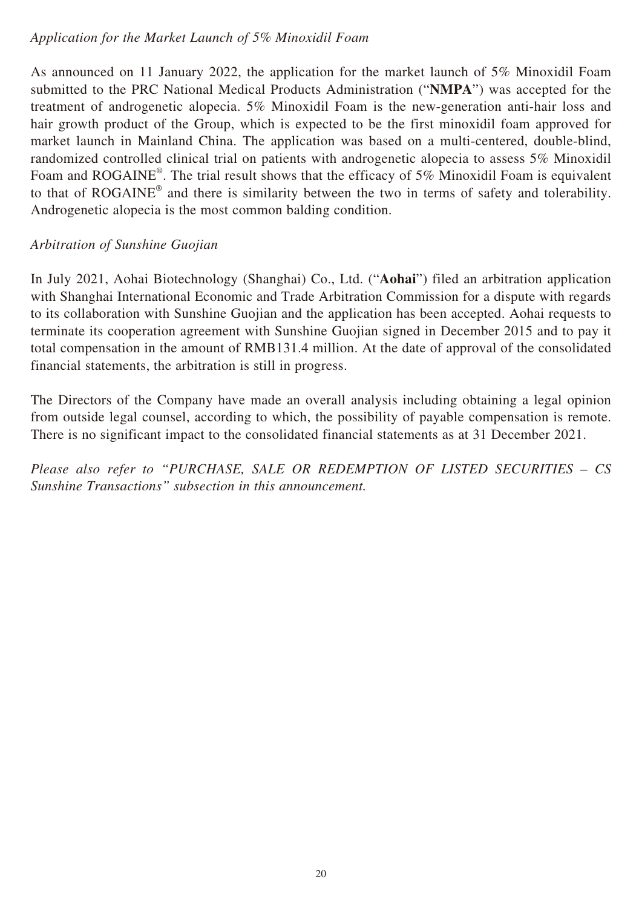## *Application for the Market Launch of 5% Minoxidil Foam*

As announced on 11 January 2022, the application for the market launch of 5% Minoxidil Foam submitted to the PRC National Medical Products Administration ("**NMPA**") was accepted for the treatment of androgenetic alopecia. 5% Minoxidil Foam is the new-generation anti-hair loss and hair growth product of the Group, which is expected to be the first minoxidil foam approved for market launch in Mainland China. The application was based on a multi-centered, double-blind, randomized controlled clinical trial on patients with androgenetic alopecia to assess 5% Minoxidil Foam and ROGAINE<sup>®</sup>. The trial result shows that the efficacy of 5% Minoxidil Foam is equivalent to that of ROGAINE<sup>®</sup> and there is similarity between the two in terms of safety and tolerability. Androgenetic alopecia is the most common balding condition.

### *Arbitration of Sunshine Guojian*

In July 2021, Aohai Biotechnology (Shanghai) Co., Ltd. ("**Aohai**") filed an arbitration application with Shanghai International Economic and Trade Arbitration Commission for a dispute with regards to its collaboration with Sunshine Guojian and the application has been accepted. Aohai requests to terminate its cooperation agreement with Sunshine Guojian signed in December 2015 and to pay it total compensation in the amount of RMB131.4 million. At the date of approval of the consolidated financial statements, the arbitration is still in progress.

The Directors of the Company have made an overall analysis including obtaining a legal opinion from outside legal counsel, according to which, the possibility of payable compensation is remote. There is no significant impact to the consolidated financial statements as at 31 December 2021.

*Please also refer to "PURCHASE, SALE OR REDEMPTION OF LISTED SECURITIES – CS Sunshine Transactions" subsection in this announcement.*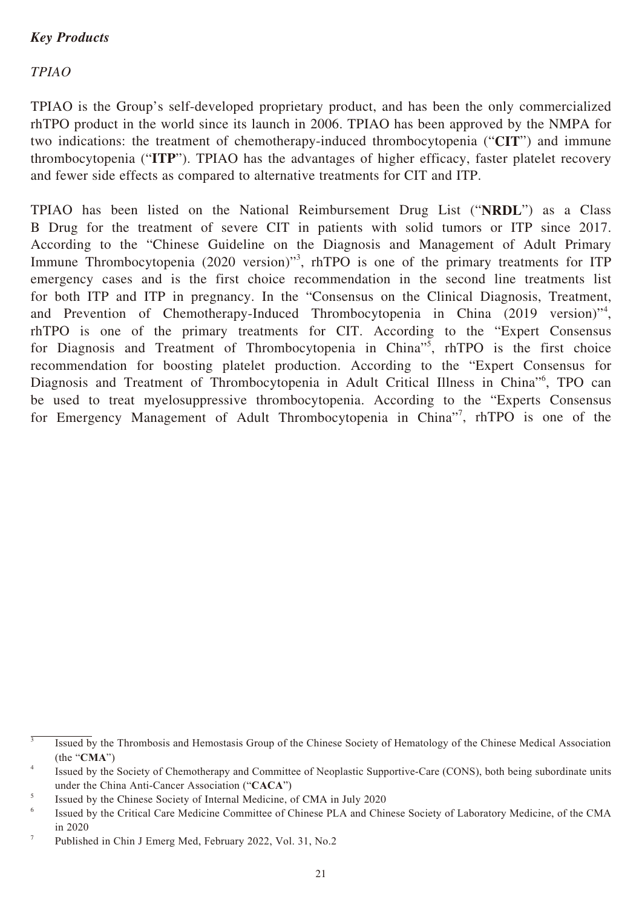## *Key Products*

#### *TPIAO*

TPIAO is the Group's self-developed proprietary product, and has been the only commercialized rhTPO product in the world since its launch in 2006. TPIAO has been approved by the NMPA for two indications: the treatment of chemotherapy-induced thrombocytopenia ("**CIT**") and immune thrombocytopenia ("**ITP**"). TPIAO has the advantages of higher efficacy, faster platelet recovery and fewer side effects as compared to alternative treatments for CIT and ITP.

TPIAO has been listed on the National Reimbursement Drug List ("**NRDL**") as a Class B Drug for the treatment of severe CIT in patients with solid tumors or ITP since 2017. According to the "Chinese Guideline on the Diagnosis and Management of Adult Primary Immune Thrombocytopenia (2020 version)<sup>3</sup>, rhTPO is one of the primary treatments for ITP emergency cases and is the first choice recommendation in the second line treatments list for both ITP and ITP in pregnancy. In the "Consensus on the Clinical Diagnosis, Treatment, and Prevention of Chemotherapy-Induced Thrombocytopenia in China (2019 version)"<sup>4</sup>, rhTPO is one of the primary treatments for CIT. According to the "Expert Consensus for Diagnosis and Treatment of Thrombocytopenia in China"<sup>5</sup>, rhTPO is the first choice recommendation for boosting platelet production. According to the "Expert Consensus for Diagnosis and Treatment of Thrombocytopenia in Adult Critical Illness in China"<sup>6</sup>, TPO can be used to treat myelosuppressive thrombocytopenia. According to the "Experts Consensus for Emergency Management of Adult Thrombocytopenia in China"<sup>7</sup>, rhTPO is one of the

Issued by the Thrombosis and Hemostasis Group of the Chinese Society of Hematology of the Chinese Medical Association (the "**CMA**")

<sup>4</sup> Issued by the Society of Chemotherapy and Committee of Neoplastic Supportive-Care (CONS), both being subordinate units under the China Anti-Cancer Association ("**CACA**")

<sup>&</sup>lt;sup>5</sup><br><sup>5</sup> Issued by the Chinese Society of Internal Medicine, of CMA in July 2020<br><sup>6</sup> Issued by the Critical Care Medicine Committee of Chinese PLA and Chinese Society of Laboratory Medicine, of the CMA in 2020

<sup>&</sup>lt;sup>7</sup> Published in Chin J Emerg Med, February 2022, Vol. 31, No.2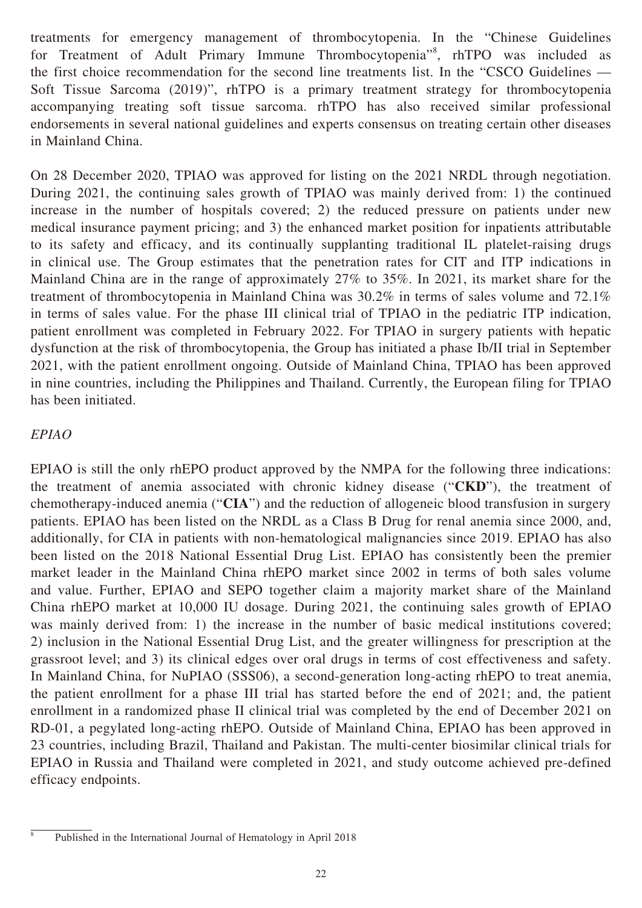treatments for emergency management of thrombocytopenia. In the "Chinese Guidelines for Treatment of Adult Primary Immune Thrombocytopenia"<sup>8</sup>, rhTPO was included as the first choice recommendation for the second line treatments list. In the "CSCO Guidelines — Soft Tissue Sarcoma (2019)", rhTPO is a primary treatment strategy for thrombocytopenia accompanying treating soft tissue sarcoma. rhTPO has also received similar professional endorsements in several national guidelines and experts consensus on treating certain other diseases in Mainland China.

On 28 December 2020, TPIAO was approved for listing on the 2021 NRDL through negotiation. During 2021, the continuing sales growth of TPIAO was mainly derived from: 1) the continued increase in the number of hospitals covered; 2) the reduced pressure on patients under new medical insurance payment pricing; and 3) the enhanced market position for inpatients attributable to its safety and efficacy, and its continually supplanting traditional IL platelet-raising drugs in clinical use. The Group estimates that the penetration rates for CIT and ITP indications in Mainland China are in the range of approximately 27% to 35%. In 2021, its market share for the treatment of thrombocytopenia in Mainland China was 30.2% in terms of sales volume and 72.1% in terms of sales value. For the phase III clinical trial of TPIAO in the pediatric ITP indication, patient enrollment was completed in February 2022. For TPIAO in surgery patients with hepatic dysfunction at the risk of thrombocytopenia, the Group has initiated a phase Ib/II trial in September 2021, with the patient enrollment ongoing. Outside of Mainland China, TPIAO has been approved in nine countries, including the Philippines and Thailand. Currently, the European filing for TPIAO has been initiated.

#### *EPIAO*

EPIAO is still the only rhEPO product approved by the NMPA for the following three indications: the treatment of anemia associated with chronic kidney disease ("**CKD**"), the treatment of chemotherapy-induced anemia ("**CIA**") and the reduction of allogeneic blood transfusion in surgery patients. EPIAO has been listed on the NRDL as a Class B Drug for renal anemia since 2000, and, additionally, for CIA in patients with non-hematological malignancies since 2019. EPIAO has also been listed on the 2018 National Essential Drug List. EPIAO has consistently been the premier market leader in the Mainland China rhEPO market since 2002 in terms of both sales volume and value. Further, EPIAO and SEPO together claim a majority market share of the Mainland China rhEPO market at 10,000 IU dosage. During 2021, the continuing sales growth of EPIAO was mainly derived from: 1) the increase in the number of basic medical institutions covered; 2) inclusion in the National Essential Drug List, and the greater willingness for prescription at the grassroot level; and 3) its clinical edges over oral drugs in terms of cost effectiveness and safety. In Mainland China, for NuPIAO (SSS06), a second-generation long-acting rhEPO to treat anemia, the patient enrollment for a phase III trial has started before the end of 2021; and, the patient enrollment in a randomized phase II clinical trial was completed by the end of December 2021 on RD-01, a pegylated long-acting rhEPO. Outside of Mainland China, EPIAO has been approved in 23 countries, including Brazil, Thailand and Pakistan. The multi-center biosimilar clinical trials for EPIAO in Russia and Thailand were completed in 2021, and study outcome achieved pre-defined efficacy endpoints.

 $\overline{\text{8}}$  Published in the International Journal of Hematology in April 2018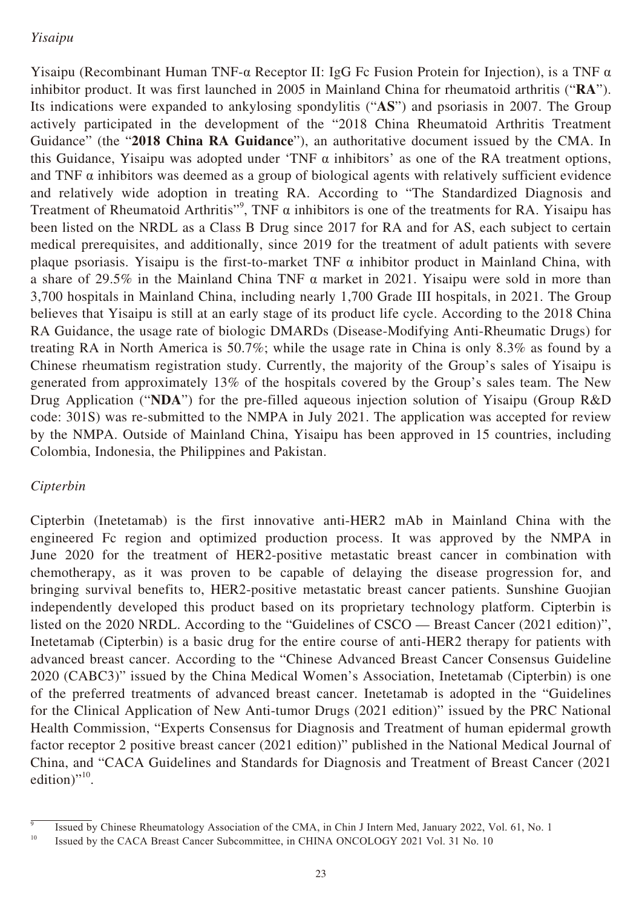#### *Yisaipu*

Yisaipu (Recombinant Human TNF-α Receptor II: IgG Fc Fusion Protein for Injection), is a TNF α inhibitor product. It was first launched in 2005 in Mainland China for rheumatoid arthritis ("**RA**"). Its indications were expanded to ankylosing spondylitis ("**AS**") and psoriasis in 2007. The Group actively participated in the development of the "2018 China Rheumatoid Arthritis Treatment Guidance" (the "**2018 China RA Guidance**"), an authoritative document issued by the CMA. In this Guidance, Yisaipu was adopted under 'TNF  $\alpha$  inhibitors' as one of the RA treatment options, and TNF  $\alpha$  inhibitors was deemed as a group of biological agents with relatively sufficient evidence and relatively wide adoption in treating RA. According to "The Standardized Diagnosis and Treatment of Rheumatoid Arthritis"<sup>9</sup>, TNF  $\alpha$  inhibitors is one of the treatments for RA. Yisaipu has been listed on the NRDL as a Class B Drug since 2017 for RA and for AS, each subject to certain medical prerequisites, and additionally, since 2019 for the treatment of adult patients with severe plaque psoriasis. Yisaipu is the first-to-market TNF  $\alpha$  inhibitor product in Mainland China, with a share of 29.5% in the Mainland China TNF  $\alpha$  market in 2021. Yisaipu were sold in more than 3,700 hospitals in Mainland China, including nearly 1,700 Grade III hospitals, in 2021. The Group believes that Yisaipu is still at an early stage of its product life cycle. According to the 2018 China RA Guidance, the usage rate of biologic DMARDs (Disease-Modifying Anti-Rheumatic Drugs) for treating RA in North America is 50.7%; while the usage rate in China is only 8.3% as found by a Chinese rheumatism registration study. Currently, the majority of the Group's sales of Yisaipu is generated from approximately 13% of the hospitals covered by the Group's sales team. The New Drug Application ("**NDA**") for the pre-filled aqueous injection solution of Yisaipu (Group R&D code: 301S) was re-submitted to the NMPA in July 2021. The application was accepted for review by the NMPA. Outside of Mainland China, Yisaipu has been approved in 15 countries, including Colombia, Indonesia, the Philippines and Pakistan.

#### *Cipterbin*

Cipterbin (Inetetamab) is the first innovative anti-HER2 mAb in Mainland China with the engineered Fc region and optimized production process. It was approved by the NMPA in June 2020 for the treatment of HER2-positive metastatic breast cancer in combination with chemotherapy, as it was proven to be capable of delaying the disease progression for, and bringing survival benefits to, HER2-positive metastatic breast cancer patients. Sunshine Guojian independently developed this product based on its proprietary technology platform. Cipterbin is listed on the 2020 NRDL. According to the "Guidelines of CSCO — Breast Cancer (2021 edition)", Inetetamab (Cipterbin) is a basic drug for the entire course of anti-HER2 therapy for patients with advanced breast cancer. According to the "Chinese Advanced Breast Cancer Consensus Guideline 2020 (CABC3)" issued by the China Medical Women's Association, Inetetamab (Cipterbin) is one of the preferred treatments of advanced breast cancer. Inetetamab is adopted in the "Guidelines for the Clinical Application of New Anti-tumor Drugs (2021 edition)" issued by the PRC National Health Commission, "Experts Consensus for Diagnosis and Treatment of human epidermal growth factor receptor 2 positive breast cancer (2021 edition)" published in the National Medical Journal of China, and "CACA Guidelines and Standards for Diagnosis and Treatment of Breast Cancer (2021 edition)". $^{10}$ .

<sup>&</sup>lt;sup>9</sup> Issued by Chinese Rheumatology Association of the CMA, in Chin J Intern Med, January 2022, Vol. 61, No. 1<sup>10</sup> Ignuary 2022, Vol. 61, No. 1<sup>10</sup>

<sup>10</sup> Issued by the CACA Breast Cancer Subcommittee, in CHINA ONCOLOGY 2021 Vol. 31 No. 10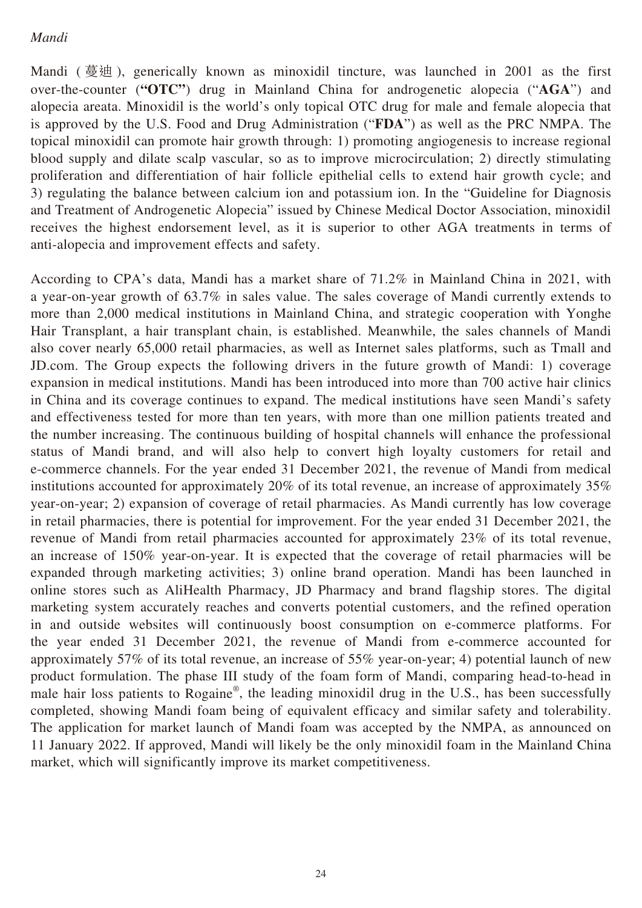#### *Mandi*

Mandi ( 蔓迪 ), generically known as minoxidil tincture, was launched in 2001 as the first over-the-counter (**"OTC"**) drug in Mainland China for androgenetic alopecia ("**AGA**") and alopecia areata. Minoxidil is the world's only topical OTC drug for male and female alopecia that is approved by the U.S. Food and Drug Administration ("**FDA**") as well as the PRC NMPA. The topical minoxidil can promote hair growth through: 1) promoting angiogenesis to increase regional blood supply and dilate scalp vascular, so as to improve microcirculation; 2) directly stimulating proliferation and differentiation of hair follicle epithelial cells to extend hair growth cycle; and 3) regulating the balance between calcium ion and potassium ion. In the "Guideline for Diagnosis and Treatment of Androgenetic Alopecia" issued by Chinese Medical Doctor Association, minoxidil receives the highest endorsement level, as it is superior to other AGA treatments in terms of anti-alopecia and improvement effects and safety.

According to CPA's data, Mandi has a market share of 71.2% in Mainland China in 2021, with a year-on-year growth of 63.7% in sales value. The sales coverage of Mandi currently extends to more than 2,000 medical institutions in Mainland China, and strategic cooperation with Yonghe Hair Transplant, a hair transplant chain, is established. Meanwhile, the sales channels of Mandi also cover nearly 65,000 retail pharmacies, as well as Internet sales platforms, such as Tmall and JD.com. The Group expects the following drivers in the future growth of Mandi: 1) coverage expansion in medical institutions. Mandi has been introduced into more than 700 active hair clinics in China and its coverage continues to expand. The medical institutions have seen Mandi's safety and effectiveness tested for more than ten years, with more than one million patients treated and the number increasing. The continuous building of hospital channels will enhance the professional status of Mandi brand, and will also help to convert high loyalty customers for retail and e-commerce channels. For the year ended 31 December 2021, the revenue of Mandi from medical institutions accounted for approximately 20% of its total revenue, an increase of approximately 35% year-on-year; 2) expansion of coverage of retail pharmacies. As Mandi currently has low coverage in retail pharmacies, there is potential for improvement. For the year ended 31 December 2021, the revenue of Mandi from retail pharmacies accounted for approximately 23% of its total revenue, an increase of 150% year-on-year. It is expected that the coverage of retail pharmacies will be expanded through marketing activities; 3) online brand operation. Mandi has been launched in online stores such as AliHealth Pharmacy, JD Pharmacy and brand flagship stores. The digital marketing system accurately reaches and converts potential customers, and the refined operation in and outside websites will continuously boost consumption on e-commerce platforms. For the year ended 31 December 2021, the revenue of Mandi from e-commerce accounted for approximately 57% of its total revenue, an increase of 55% year-on-year; 4) potential launch of new product formulation. The phase III study of the foam form of Mandi, comparing head-to-head in male hair loss patients to Rogaine®, the leading minoxidil drug in the U.S., has been successfully completed, showing Mandi foam being of equivalent efficacy and similar safety and tolerability. The application for market launch of Mandi foam was accepted by the NMPA, as announced on 11 January 2022. If approved, Mandi will likely be the only minoxidil foam in the Mainland China market, which will significantly improve its market competitiveness.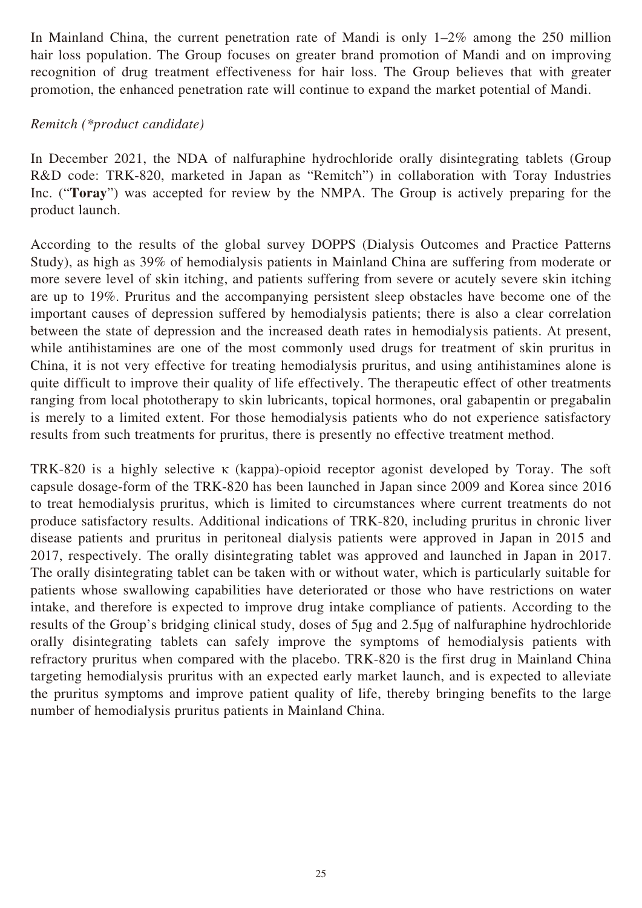In Mainland China, the current penetration rate of Mandi is only 1–2% among the 250 million hair loss population. The Group focuses on greater brand promotion of Mandi and on improving recognition of drug treatment effectiveness for hair loss. The Group believes that with greater promotion, the enhanced penetration rate will continue to expand the market potential of Mandi.

### *Remitch (\*product candidate)*

In December 2021, the NDA of nalfuraphine hydrochloride orally disintegrating tablets (Group R&D code: TRK-820, marketed in Japan as "Remitch") in collaboration with Toray Industries Inc. ("**Toray**") was accepted for review by the NMPA. The Group is actively preparing for the product launch.

According to the results of the global survey DOPPS (Dialysis Outcomes and Practice Patterns Study), as high as 39% of hemodialysis patients in Mainland China are suffering from moderate or more severe level of skin itching, and patients suffering from severe or acutely severe skin itching are up to 19%. Pruritus and the accompanying persistent sleep obstacles have become one of the important causes of depression suffered by hemodialysis patients; there is also a clear correlation between the state of depression and the increased death rates in hemodialysis patients. At present, while antihistamines are one of the most commonly used drugs for treatment of skin pruritus in China, it is not very effective for treating hemodialysis pruritus, and using antihistamines alone is quite difficult to improve their quality of life effectively. The therapeutic effect of other treatments ranging from local phototherapy to skin lubricants, topical hormones, oral gabapentin or pregabalin is merely to a limited extent. For those hemodialysis patients who do not experience satisfactory results from such treatments for pruritus, there is presently no effective treatment method.

TRK-820 is a highly selective κ (kappa)-opioid receptor agonist developed by Toray. The soft capsule dosage-form of the TRK-820 has been launched in Japan since 2009 and Korea since 2016 to treat hemodialysis pruritus, which is limited to circumstances where current treatments do not produce satisfactory results. Additional indications of TRK-820, including pruritus in chronic liver disease patients and pruritus in peritoneal dialysis patients were approved in Japan in 2015 and 2017, respectively. The orally disintegrating tablet was approved and launched in Japan in 2017. The orally disintegrating tablet can be taken with or without water, which is particularly suitable for patients whose swallowing capabilities have deteriorated or those who have restrictions on water intake, and therefore is expected to improve drug intake compliance of patients. According to the results of the Group's bridging clinical study, doses of 5µg and 2.5µg of nalfuraphine hydrochloride orally disintegrating tablets can safely improve the symptoms of hemodialysis patients with refractory pruritus when compared with the placebo. TRK-820 is the first drug in Mainland China targeting hemodialysis pruritus with an expected early market launch, and is expected to alleviate the pruritus symptoms and improve patient quality of life, thereby bringing benefits to the large number of hemodialysis pruritus patients in Mainland China.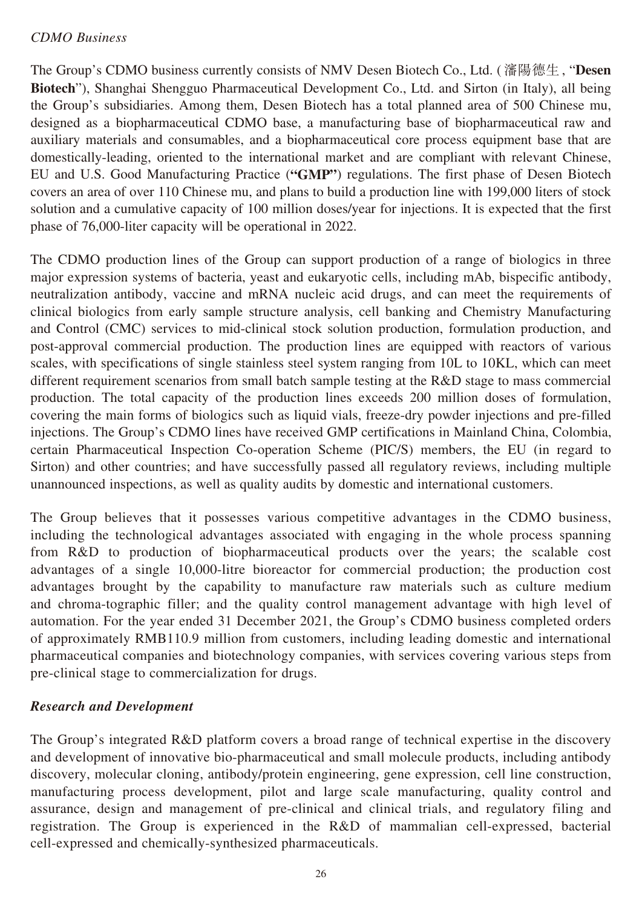### *CDMO Business*

The Group's CDMO business currently consists of NMV Desen Biotech Co., Ltd. (瀋陽德生, "**Desen Biotech**"), Shanghai Shengguo Pharmaceutical Development Co., Ltd. and Sirton (in Italy), all being the Group's subsidiaries. Among them, Desen Biotech has a total planned area of 500 Chinese mu, designed as a biopharmaceutical CDMO base, a manufacturing base of biopharmaceutical raw and auxiliary materials and consumables, and a biopharmaceutical core process equipment base that are domestically-leading, oriented to the international market and are compliant with relevant Chinese, EU and U.S. Good Manufacturing Practice (**"GMP"**) regulations. The first phase of Desen Biotech covers an area of over 110 Chinese mu, and plans to build a production line with 199,000 liters of stock solution and a cumulative capacity of 100 million doses/year for injections. It is expected that the first phase of 76,000-liter capacity will be operational in 2022.

The CDMO production lines of the Group can support production of a range of biologics in three major expression systems of bacteria, yeast and eukaryotic cells, including mAb, bispecific antibody, neutralization antibody, vaccine and mRNA nucleic acid drugs, and can meet the requirements of clinical biologics from early sample structure analysis, cell banking and Chemistry Manufacturing and Control (CMC) services to mid-clinical stock solution production, formulation production, and post-approval commercial production. The production lines are equipped with reactors of various scales, with specifications of single stainless steel system ranging from 10L to 10KL, which can meet different requirement scenarios from small batch sample testing at the R&D stage to mass commercial production. The total capacity of the production lines exceeds 200 million doses of formulation, covering the main forms of biologics such as liquid vials, freeze-dry powder injections and pre-filled injections. The Group's CDMO lines have received GMP certifications in Mainland China, Colombia, certain Pharmaceutical Inspection Co-operation Scheme (PIC/S) members, the EU (in regard to Sirton) and other countries; and have successfully passed all regulatory reviews, including multiple unannounced inspections, as well as quality audits by domestic and international customers.

The Group believes that it possesses various competitive advantages in the CDMO business, including the technological advantages associated with engaging in the whole process spanning from R&D to production of biopharmaceutical products over the years; the scalable cost advantages of a single 10,000-litre bioreactor for commercial production; the production cost advantages brought by the capability to manufacture raw materials such as culture medium and chroma-tographic filler; and the quality control management advantage with high level of automation. For the year ended 31 December 2021, the Group's CDMO business completed orders of approximately RMB110.9 million from customers, including leading domestic and international pharmaceutical companies and biotechnology companies, with services covering various steps from pre-clinical stage to commercialization for drugs.

#### *Research and Development*

The Group's integrated R&D platform covers a broad range of technical expertise in the discovery and development of innovative bio-pharmaceutical and small molecule products, including antibody discovery, molecular cloning, antibody/protein engineering, gene expression, cell line construction, manufacturing process development, pilot and large scale manufacturing, quality control and assurance, design and management of pre-clinical and clinical trials, and regulatory filing and registration. The Group is experienced in the R&D of mammalian cell-expressed, bacterial cell-expressed and chemically-synthesized pharmaceuticals.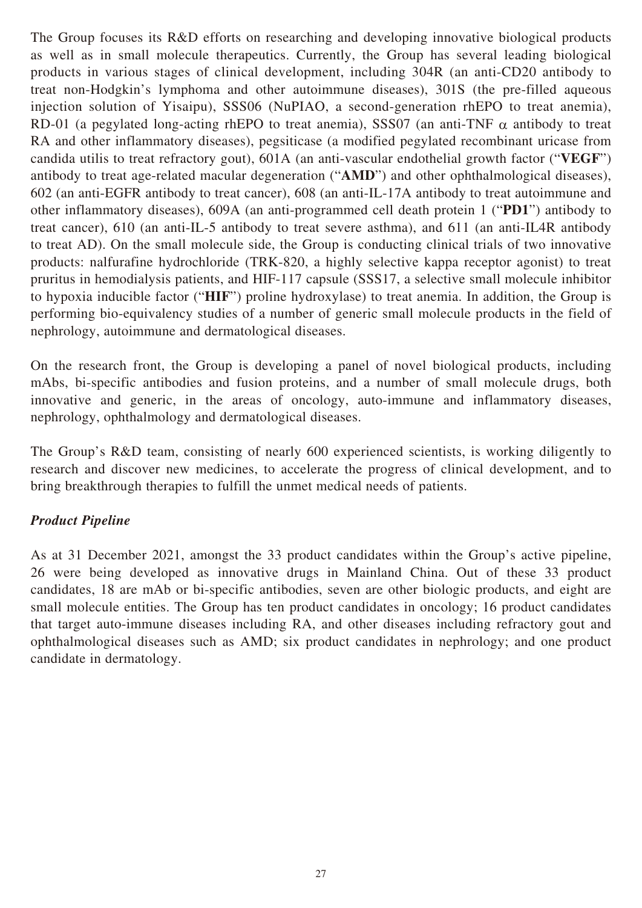The Group focuses its R&D efforts on researching and developing innovative biological products as well as in small molecule therapeutics. Currently, the Group has several leading biological products in various stages of clinical development, including 304R (an anti-CD20 antibody to treat non-Hodgkin's lymphoma and other autoimmune diseases), 301S (the pre-filled aqueous injection solution of Yisaipu), SSS06 (NuPIAO, a second-generation rhEPO to treat anemia), RD-01 (a pegylated long-acting rhEPO to treat anemia), SSS07 (an anti-TNF  $\alpha$  antibody to treat RA and other inflammatory diseases), pegsiticase (a modified pegylated recombinant uricase from candida utilis to treat refractory gout), 601A (an anti-vascular endothelial growth factor ("**VEGF**") antibody to treat age-related macular degeneration ("**AMD**") and other ophthalmological diseases), 602 (an anti-EGFR antibody to treat cancer), 608 (an anti-IL-17A antibody to treat autoimmune and other inflammatory diseases), 609A (an anti-programmed cell death protein 1 ("**PD1**") antibody to treat cancer), 610 (an anti-IL-5 antibody to treat severe asthma), and 611 (an anti-IL4R antibody to treat AD). On the small molecule side, the Group is conducting clinical trials of two innovative products: nalfurafine hydrochloride (TRK-820, a highly selective kappa receptor agonist) to treat pruritus in hemodialysis patients, and HIF-117 capsule (SSS17, a selective small molecule inhibitor to hypoxia inducible factor ("**HIF**") proline hydroxylase) to treat anemia. In addition, the Group is performing bio-equivalency studies of a number of generic small molecule products in the field of nephrology, autoimmune and dermatological diseases.

On the research front, the Group is developing a panel of novel biological products, including mAbs, bi-specific antibodies and fusion proteins, and a number of small molecule drugs, both innovative and generic, in the areas of oncology, auto-immune and inflammatory diseases, nephrology, ophthalmology and dermatological diseases.

The Group's R&D team, consisting of nearly 600 experienced scientists, is working diligently to research and discover new medicines, to accelerate the progress of clinical development, and to bring breakthrough therapies to fulfill the unmet medical needs of patients.

## *Product Pipeline*

As at 31 December 2021, amongst the 33 product candidates within the Group's active pipeline, 26 were being developed as innovative drugs in Mainland China. Out of these 33 product candidates, 18 are mAb or bi-specific antibodies, seven are other biologic products, and eight are small molecule entities. The Group has ten product candidates in oncology; 16 product candidates that target auto-immune diseases including RA, and other diseases including refractory gout and ophthalmological diseases such as AMD; six product candidates in nephrology; and one product candidate in dermatology.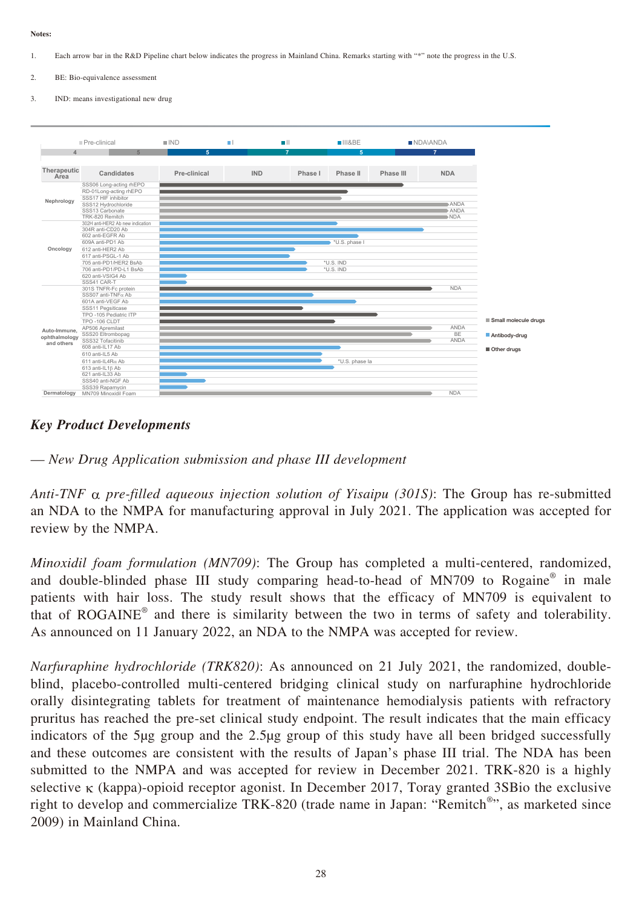#### **Notes:**

- 1. Each arrow bar in the R&D Pipeline chart below indicates the progress in Mainland China. Remarks starting with "\*" note the progress in the U.S.
- 2. BE: Bio-equivalence assessment
- 3. IND: means investigational new drug



#### *Key Product Developments*

— *New Drug Application submission and phase III development*

*Anti-TNF* α *pre-filled aqueous injection solution of Yisaipu (301S)*: The Group has re-submitted an NDA to the NMPA for manufacturing approval in July 2021. The application was accepted for review by the NMPA.

*Minoxidil foam formulation (MN709)*: The Group has completed a multi-centered, randomized, and double-blinded phase III study comparing head-to-head of MN709 to Rogaine® in male patients with hair loss. The study result shows that the efficacy of MN709 is equivalent to that of ROGAINE<sup>®</sup> and there is similarity between the two in terms of safety and tolerability. As announced on 11 January 2022, an NDA to the NMPA was accepted for review.

*Narfuraphine hydrochloride (TRK820)*: As announced on 21 July 2021, the randomized, doubleblind, placebo-controlled multi-centered bridging clinical study on narfuraphine hydrochloride orally disintegrating tablets for treatment of maintenance hemodialysis patients with refractory pruritus has reached the pre-set clinical study endpoint. The result indicates that the main efficacy indicators of the 5µg group and the 2.5µg group of this study have all been bridged successfully and these outcomes are consistent with the results of Japan's phase III trial. The NDA has been submitted to the NMPA and was accepted for review in December 2021. TRK-820 is a highly selective κ (kappa)-opioid receptor agonist. In December 2017, Toray granted 3SBio the exclusive right to develop and commercialize TRK-820 (trade name in Japan: "Remitch<sup>®</sup>", as marketed since 2009) in Mainland China.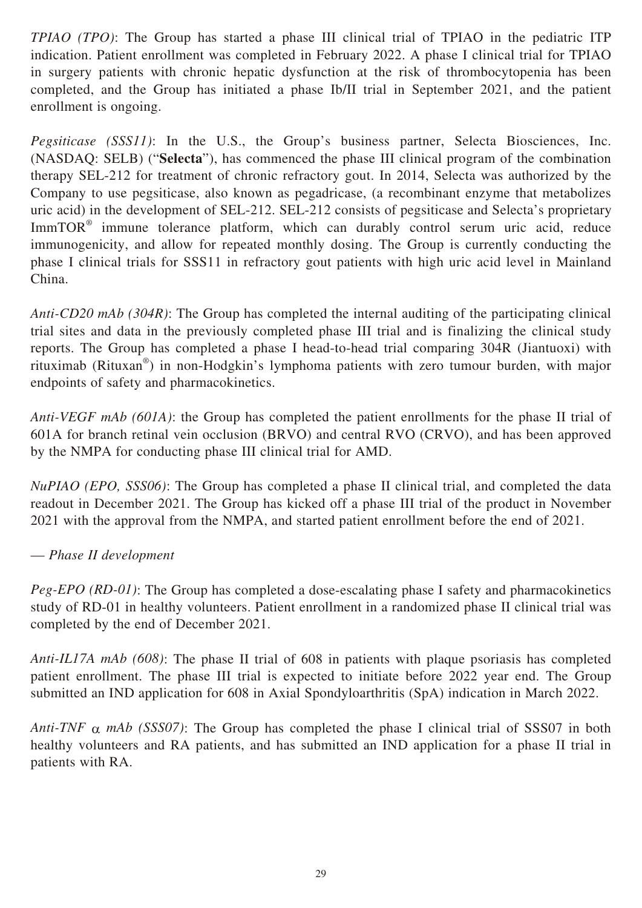*TPIAO (TPO)*: The Group has started a phase III clinical trial of TPIAO in the pediatric ITP indication. Patient enrollment was completed in February 2022. A phase I clinical trial for TPIAO in surgery patients with chronic hepatic dysfunction at the risk of thrombocytopenia has been completed, and the Group has initiated a phase Ib/II trial in September 2021, and the patient enrollment is ongoing.

*Pegsiticase (SSS11)*: In the U.S., the Group's business partner, Selecta Biosciences, Inc. (NASDAQ: SELB) ("**Selecta**"), has commenced the phase III clinical program of the combination therapy SEL-212 for treatment of chronic refractory gout. In 2014, Selecta was authorized by the Company to use pegsiticase, also known as pegadricase, (a recombinant enzyme that metabolizes uric acid) in the development of SEL-212. SEL-212 consists of pegsiticase and Selecta's proprietary ImmTOR<sup>®</sup> immune tolerance platform, which can durably control serum uric acid, reduce immunogenicity, and allow for repeated monthly dosing. The Group is currently conducting the phase I clinical trials for SSS11 in refractory gout patients with high uric acid level in Mainland China.

*Anti-CD20 mAb (304R)*: The Group has completed the internal auditing of the participating clinical trial sites and data in the previously completed phase III trial and is finalizing the clinical study reports. The Group has completed a phase I head-to-head trial comparing 304R (Jiantuoxi) with rituximab (Rituxan® ) in non-Hodgkin's lymphoma patients with zero tumour burden, with major endpoints of safety and pharmacokinetics.

*Anti-VEGF mAb (601A)*: the Group has completed the patient enrollments for the phase II trial of 601A for branch retinal vein occlusion (BRVO) and central RVO (CRVO), and has been approved by the NMPA for conducting phase III clinical trial for AMD.

*NuPIAO (EPO, SSS06)*: The Group has completed a phase II clinical trial, and completed the data readout in December 2021. The Group has kicked off a phase III trial of the product in November 2021 with the approval from the NMPA, and started patient enrollment before the end of 2021.

## — *Phase II development*

*Peg-EPO (RD-01)*: The Group has completed a dose-escalating phase I safety and pharmacokinetics study of RD-01 in healthy volunteers. Patient enrollment in a randomized phase II clinical trial was completed by the end of December 2021.

*Anti-IL17A mAb (608)*: The phase II trial of 608 in patients with plaque psoriasis has completed patient enrollment. The phase III trial is expected to initiate before 2022 year end. The Group submitted an IND application for 608 in Axial Spondyloarthritis (SpA) indication in March 2022.

*Anti-TNF* α *mAb (SSS07)*: The Group has completed the phase I clinical trial of SSS07 in both healthy volunteers and RA patients, and has submitted an IND application for a phase II trial in patients with RA.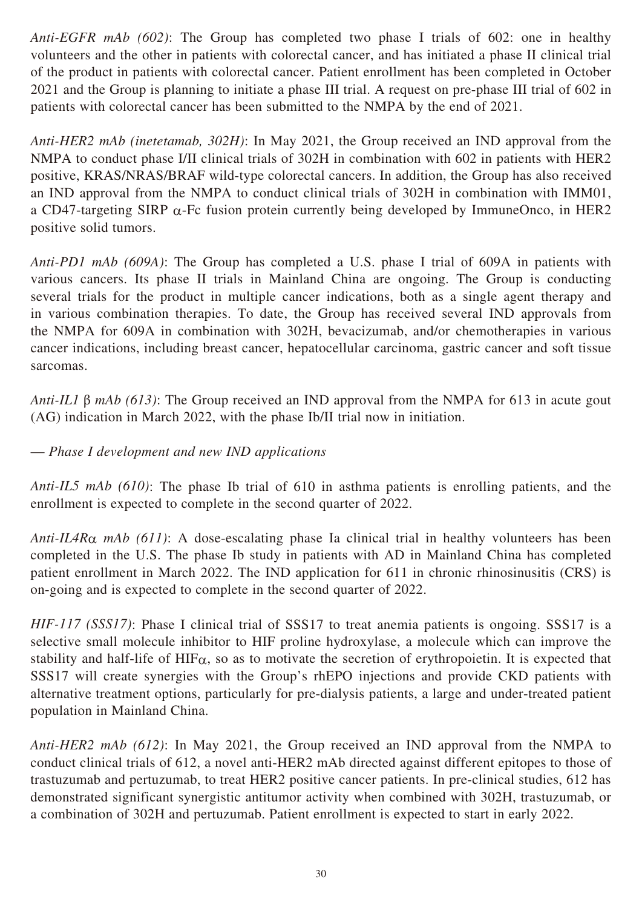*Anti-EGFR mAb (602)*: The Group has completed two phase I trials of 602: one in healthy volunteers and the other in patients with colorectal cancer, and has initiated a phase II clinical trial of the product in patients with colorectal cancer. Patient enrollment has been completed in October 2021 and the Group is planning to initiate a phase III trial. A request on pre-phase III trial of 602 in patients with colorectal cancer has been submitted to the NMPA by the end of 2021.

*Anti-HER2 mAb (inetetamab, 302H)*: In May 2021, the Group received an IND approval from the NMPA to conduct phase I/II clinical trials of 302H in combination with 602 in patients with HER2 positive, KRAS/NRAS/BRAF wild-type colorectal cancers. In addition, the Group has also received an IND approval from the NMPA to conduct clinical trials of 302H in combination with IMM01, a CD47-targeting SIRP  $\alpha$ -Fc fusion protein currently being developed by ImmuneOnco, in HER2 positive solid tumors.

*Anti-PD1 mAb (609A)*: The Group has completed a U.S. phase I trial of 609A in patients with various cancers. Its phase II trials in Mainland China are ongoing. The Group is conducting several trials for the product in multiple cancer indications, both as a single agent therapy and in various combination therapies. To date, the Group has received several IND approvals from the NMPA for 609A in combination with 302H, bevacizumab, and/or chemotherapies in various cancer indications, including breast cancer, hepatocellular carcinoma, gastric cancer and soft tissue sarcomas.

*Anti-IL1* β *mAb (613)*: The Group received an IND approval from the NMPA for 613 in acute gout (AG) indication in March 2022, with the phase Ib/II trial now in initiation.

## — *Phase I development and new IND applications*

*Anti-IL5 mAb (610)*: The phase Ib trial of 610 in asthma patients is enrolling patients, and the enrollment is expected to complete in the second quarter of 2022.

*Anti-IL4R*α *mAb (611)*: A dose-escalating phase Ia clinical trial in healthy volunteers has been completed in the U.S. The phase Ib study in patients with AD in Mainland China has completed patient enrollment in March 2022. The IND application for 611 in chronic rhinosinusitis (CRS) is on-going and is expected to complete in the second quarter of 2022.

*HIF-117 (SSS17)*: Phase I clinical trial of SSS17 to treat anemia patients is ongoing. SSS17 is a selective small molecule inhibitor to HIF proline hydroxylase, a molecule which can improve the stability and half-life of  $HIF_{\alpha}$ , so as to motivate the secretion of erythropoietin. It is expected that SSS17 will create synergies with the Group's rhEPO injections and provide CKD patients with alternative treatment options, particularly for pre-dialysis patients, a large and under-treated patient population in Mainland China.

*Anti-HER2 mAb (612)*: In May 2021, the Group received an IND approval from the NMPA to conduct clinical trials of 612, a novel anti-HER2 mAb directed against different epitopes to those of trastuzumab and pertuzumab, to treat HER2 positive cancer patients. In pre-clinical studies, 612 has demonstrated significant synergistic antitumor activity when combined with 302H, trastuzumab, or a combination of 302H and pertuzumab. Patient enrollment is expected to start in early 2022.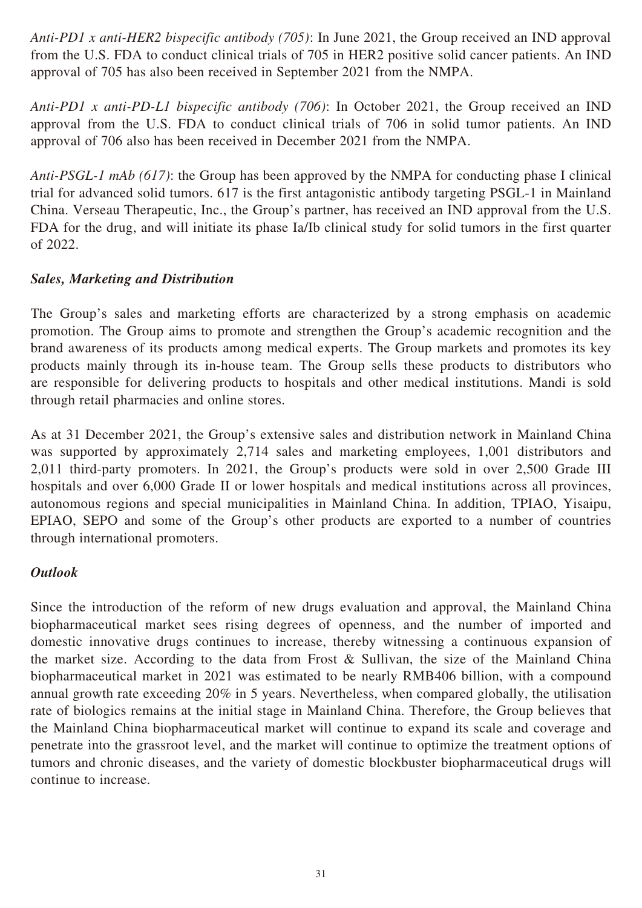*Anti-PD1 x anti-HER2 bispecific antibody (705)*: In June 2021, the Group received an IND approval from the U.S. FDA to conduct clinical trials of 705 in HER2 positive solid cancer patients. An IND approval of 705 has also been received in September 2021 from the NMPA.

*Anti-PD1 x anti-PD-L1 bispecific antibody (706)*: In October 2021, the Group received an IND approval from the U.S. FDA to conduct clinical trials of 706 in solid tumor patients. An IND approval of 706 also has been received in December 2021 from the NMPA.

*Anti-PSGL-1 mAb (617)*: the Group has been approved by the NMPA for conducting phase I clinical trial for advanced solid tumors. 617 is the first antagonistic antibody targeting PSGL-1 in Mainland China. Verseau Therapeutic, Inc., the Group's partner, has received an IND approval from the U.S. FDA for the drug, and will initiate its phase Ia/Ib clinical study for solid tumors in the first quarter of 2022.

### *Sales, Marketing and Distribution*

The Group's sales and marketing efforts are characterized by a strong emphasis on academic promotion. The Group aims to promote and strengthen the Group's academic recognition and the brand awareness of its products among medical experts. The Group markets and promotes its key products mainly through its in-house team. The Group sells these products to distributors who are responsible for delivering products to hospitals and other medical institutions. Mandi is sold through retail pharmacies and online stores.

As at 31 December 2021, the Group's extensive sales and distribution network in Mainland China was supported by approximately 2,714 sales and marketing employees, 1,001 distributors and 2,011 third-party promoters. In 2021, the Group's products were sold in over 2,500 Grade III hospitals and over 6,000 Grade II or lower hospitals and medical institutions across all provinces, autonomous regions and special municipalities in Mainland China. In addition, TPIAO, Yisaipu, EPIAO, SEPO and some of the Group's other products are exported to a number of countries through international promoters.

#### *Outlook*

Since the introduction of the reform of new drugs evaluation and approval, the Mainland China biopharmaceutical market sees rising degrees of openness, and the number of imported and domestic innovative drugs continues to increase, thereby witnessing a continuous expansion of the market size. According to the data from Frost & Sullivan, the size of the Mainland China biopharmaceutical market in 2021 was estimated to be nearly RMB406 billion, with a compound annual growth rate exceeding 20% in 5 years. Nevertheless, when compared globally, the utilisation rate of biologics remains at the initial stage in Mainland China. Therefore, the Group believes that the Mainland China biopharmaceutical market will continue to expand its scale and coverage and penetrate into the grassroot level, and the market will continue to optimize the treatment options of tumors and chronic diseases, and the variety of domestic blockbuster biopharmaceutical drugs will continue to increase.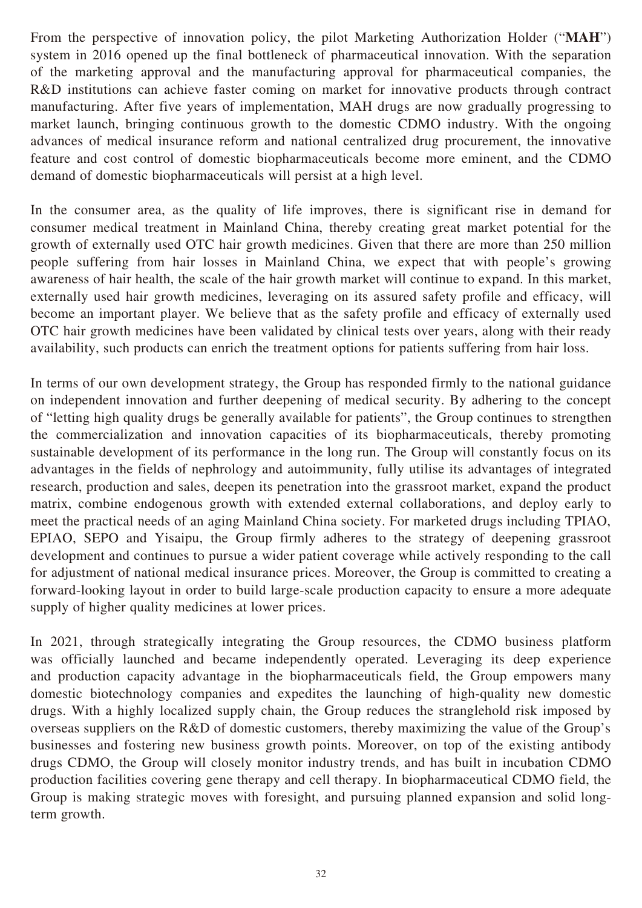From the perspective of innovation policy, the pilot Marketing Authorization Holder ("**MAH**") system in 2016 opened up the final bottleneck of pharmaceutical innovation. With the separation of the marketing approval and the manufacturing approval for pharmaceutical companies, the R&D institutions can achieve faster coming on market for innovative products through contract manufacturing. After five years of implementation, MAH drugs are now gradually progressing to market launch, bringing continuous growth to the domestic CDMO industry. With the ongoing advances of medical insurance reform and national centralized drug procurement, the innovative feature and cost control of domestic biopharmaceuticals become more eminent, and the CDMO demand of domestic biopharmaceuticals will persist at a high level.

In the consumer area, as the quality of life improves, there is significant rise in demand for consumer medical treatment in Mainland China, thereby creating great market potential for the growth of externally used OTC hair growth medicines. Given that there are more than 250 million people suffering from hair losses in Mainland China, we expect that with people's growing awareness of hair health, the scale of the hair growth market will continue to expand. In this market, externally used hair growth medicines, leveraging on its assured safety profile and efficacy, will become an important player. We believe that as the safety profile and efficacy of externally used OTC hair growth medicines have been validated by clinical tests over years, along with their ready availability, such products can enrich the treatment options for patients suffering from hair loss.

In terms of our own development strategy, the Group has responded firmly to the national guidance on independent innovation and further deepening of medical security. By adhering to the concept of "letting high quality drugs be generally available for patients", the Group continues to strengthen the commercialization and innovation capacities of its biopharmaceuticals, thereby promoting sustainable development of its performance in the long run. The Group will constantly focus on its advantages in the fields of nephrology and autoimmunity, fully utilise its advantages of integrated research, production and sales, deepen its penetration into the grassroot market, expand the product matrix, combine endogenous growth with extended external collaborations, and deploy early to meet the practical needs of an aging Mainland China society. For marketed drugs including TPIAO, EPIAO, SEPO and Yisaipu, the Group firmly adheres to the strategy of deepening grassroot development and continues to pursue a wider patient coverage while actively responding to the call for adjustment of national medical insurance prices. Moreover, the Group is committed to creating a forward-looking layout in order to build large-scale production capacity to ensure a more adequate supply of higher quality medicines at lower prices.

In 2021, through strategically integrating the Group resources, the CDMO business platform was officially launched and became independently operated. Leveraging its deep experience and production capacity advantage in the biopharmaceuticals field, the Group empowers many domestic biotechnology companies and expedites the launching of high-quality new domestic drugs. With a highly localized supply chain, the Group reduces the stranglehold risk imposed by overseas suppliers on the R&D of domestic customers, thereby maximizing the value of the Group's businesses and fostering new business growth points. Moreover, on top of the existing antibody drugs CDMO, the Group will closely monitor industry trends, and has built in incubation CDMO production facilities covering gene therapy and cell therapy. In biopharmaceutical CDMO field, the Group is making strategic moves with foresight, and pursuing planned expansion and solid longterm growth.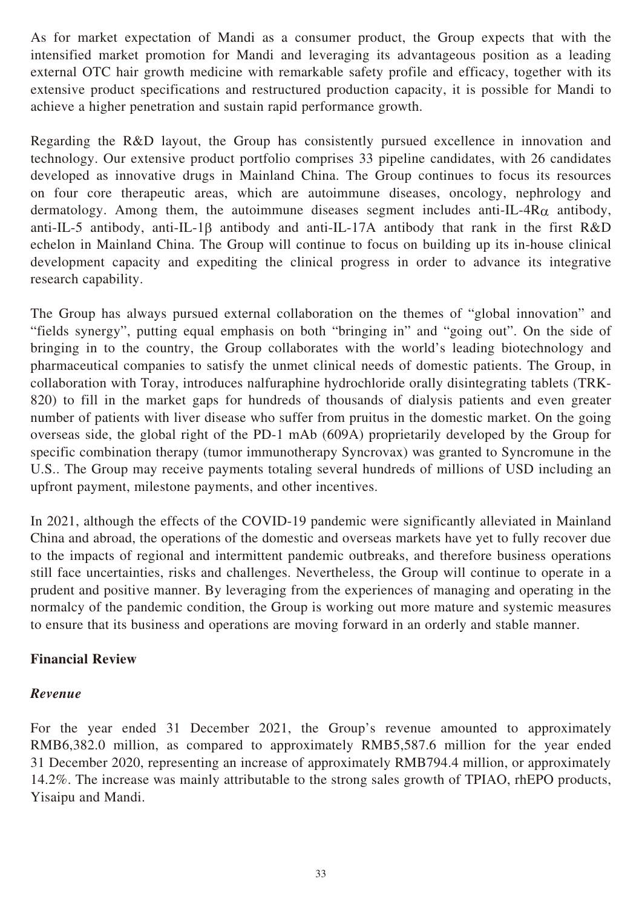As for market expectation of Mandi as a consumer product, the Group expects that with the intensified market promotion for Mandi and leveraging its advantageous position as a leading external OTC hair growth medicine with remarkable safety profile and efficacy, together with its extensive product specifications and restructured production capacity, it is possible for Mandi to achieve a higher penetration and sustain rapid performance growth.

Regarding the R&D layout, the Group has consistently pursued excellence in innovation and technology. Our extensive product portfolio comprises 33 pipeline candidates, with 26 candidates developed as innovative drugs in Mainland China. The Group continues to focus its resources on four core therapeutic areas, which are autoimmune diseases, oncology, nephrology and dermatology. Among them, the autoimmune diseases segment includes anti-IL-4R $\alpha$  antibody, anti-IL-5 antibody, anti-IL-1β antibody and anti-IL-17A antibody that rank in the first R&D echelon in Mainland China. The Group will continue to focus on building up its in-house clinical development capacity and expediting the clinical progress in order to advance its integrative research capability.

The Group has always pursued external collaboration on the themes of "global innovation" and "fields synergy", putting equal emphasis on both "bringing in" and "going out". On the side of bringing in to the country, the Group collaborates with the world's leading biotechnology and pharmaceutical companies to satisfy the unmet clinical needs of domestic patients. The Group, in collaboration with Toray, introduces nalfuraphine hydrochloride orally disintegrating tablets (TRK-820) to fill in the market gaps for hundreds of thousands of dialysis patients and even greater number of patients with liver disease who suffer from pruitus in the domestic market. On the going overseas side, the global right of the PD-1 mAb (609A) proprietarily developed by the Group for specific combination therapy (tumor immunotherapy Syncrovax) was granted to Syncromune in the U.S.. The Group may receive payments totaling several hundreds of millions of USD including an upfront payment, milestone payments, and other incentives.

In 2021, although the effects of the COVID-19 pandemic were significantly alleviated in Mainland China and abroad, the operations of the domestic and overseas markets have yet to fully recover due to the impacts of regional and intermittent pandemic outbreaks, and therefore business operations still face uncertainties, risks and challenges. Nevertheless, the Group will continue to operate in a prudent and positive manner. By leveraging from the experiences of managing and operating in the normalcy of the pandemic condition, the Group is working out more mature and systemic measures to ensure that its business and operations are moving forward in an orderly and stable manner.

## **Financial Review**

#### *Revenue*

For the year ended 31 December 2021, the Group's revenue amounted to approximately RMB6,382.0 million, as compared to approximately RMB5,587.6 million for the year ended 31 December 2020, representing an increase of approximately RMB794.4 million, or approximately 14.2%. The increase was mainly attributable to the strong sales growth of TPIAO, rhEPO products, Yisaipu and Mandi.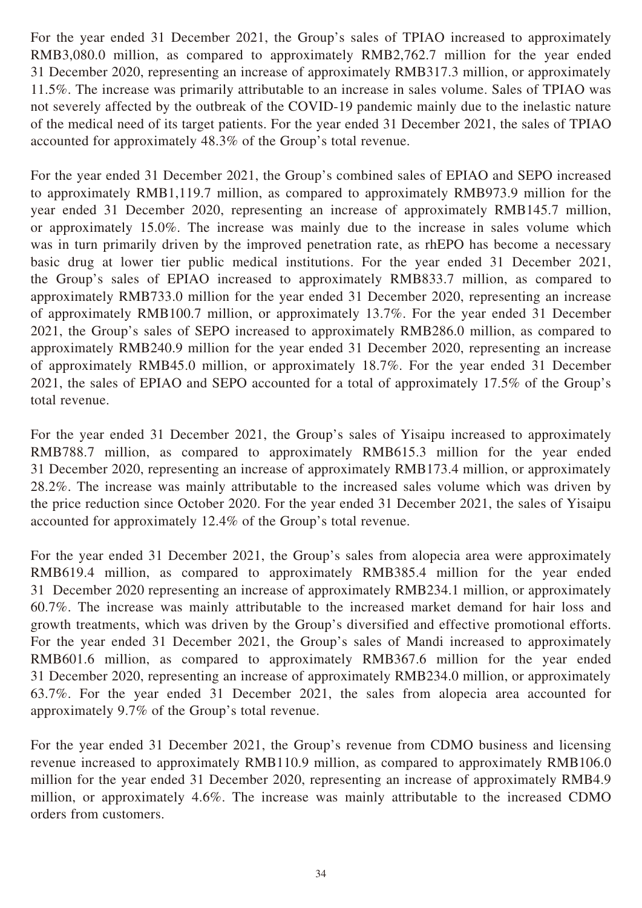For the year ended 31 December 2021, the Group's sales of TPIAO increased to approximately RMB3,080.0 million, as compared to approximately RMB2,762.7 million for the year ended 31 December 2020, representing an increase of approximately RMB317.3 million, or approximately 11.5%. The increase was primarily attributable to an increase in sales volume. Sales of TPIAO was not severely affected by the outbreak of the COVID-19 pandemic mainly due to the inelastic nature of the medical need of its target patients. For the year ended 31 December 2021, the sales of TPIAO accounted for approximately 48.3% of the Group's total revenue.

For the year ended 31 December 2021, the Group's combined sales of EPIAO and SEPO increased to approximately RMB1,119.7 million, as compared to approximately RMB973.9 million for the year ended 31 December 2020, representing an increase of approximately RMB145.7 million, or approximately 15.0%. The increase was mainly due to the increase in sales volume which was in turn primarily driven by the improved penetration rate, as rhEPO has become a necessary basic drug at lower tier public medical institutions. For the year ended 31 December 2021, the Group's sales of EPIAO increased to approximately RMB833.7 million, as compared to approximately RMB733.0 million for the year ended 31 December 2020, representing an increase of approximately RMB100.7 million, or approximately 13.7%. For the year ended 31 December 2021, the Group's sales of SEPO increased to approximately RMB286.0 million, as compared to approximately RMB240.9 million for the year ended 31 December 2020, representing an increase of approximately RMB45.0 million, or approximately 18.7%. For the year ended 31 December 2021, the sales of EPIAO and SEPO accounted for a total of approximately 17.5% of the Group's total revenue.

For the year ended 31 December 2021, the Group's sales of Yisaipu increased to approximately RMB788.7 million, as compared to approximately RMB615.3 million for the year ended 31 December 2020, representing an increase of approximately RMB173.4 million, or approximately 28.2%. The increase was mainly attributable to the increased sales volume which was driven by the price reduction since October 2020. For the year ended 31 December 2021, the sales of Yisaipu accounted for approximately 12.4% of the Group's total revenue.

For the year ended 31 December 2021, the Group's sales from alopecia area were approximately RMB619.4 million, as compared to approximately RMB385.4 million for the year ended 31 December 2020 representing an increase of approximately RMB234.1 million, or approximately 60.7%. The increase was mainly attributable to the increased market demand for hair loss and growth treatments, which was driven by the Group's diversified and effective promotional efforts. For the year ended 31 December 2021, the Group's sales of Mandi increased to approximately RMB601.6 million, as compared to approximately RMB367.6 million for the year ended 31 December 2020, representing an increase of approximately RMB234.0 million, or approximately 63.7%. For the year ended 31 December 2021, the sales from alopecia area accounted for approximately 9.7% of the Group's total revenue.

For the year ended 31 December 2021, the Group's revenue from CDMO business and licensing revenue increased to approximately RMB110.9 million, as compared to approximately RMB106.0 million for the year ended 31 December 2020, representing an increase of approximately RMB4.9 million, or approximately 4.6%. The increase was mainly attributable to the increased CDMO orders from customers.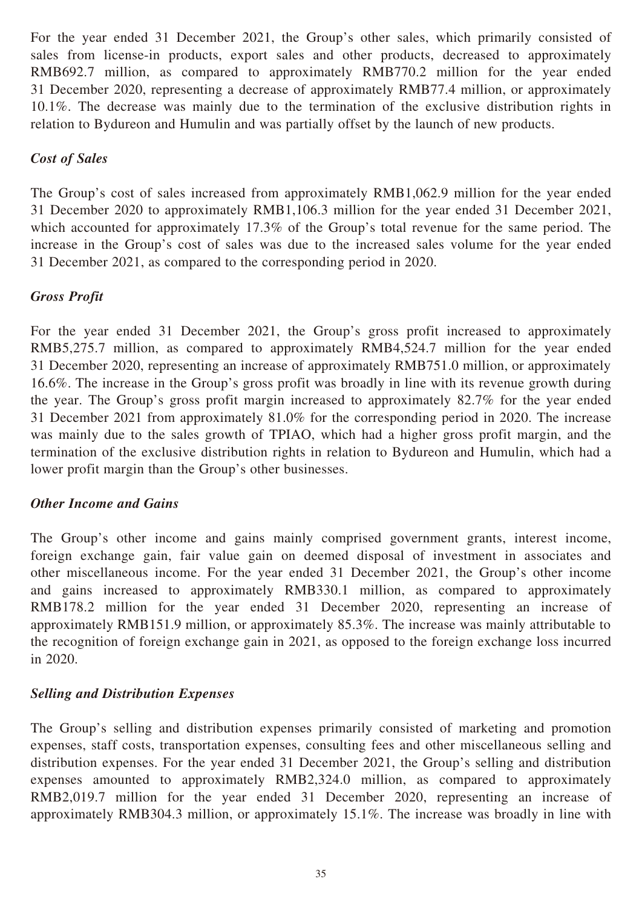For the year ended 31 December 2021, the Group's other sales, which primarily consisted of sales from license-in products, export sales and other products, decreased to approximately RMB692.7 million, as compared to approximately RMB770.2 million for the year ended 31 December 2020, representing a decrease of approximately RMB77.4 million, or approximately 10.1%. The decrease was mainly due to the termination of the exclusive distribution rights in relation to Bydureon and Humulin and was partially offset by the launch of new products.

## *Cost of Sales*

The Group's cost of sales increased from approximately RMB1,062.9 million for the year ended 31 December 2020 to approximately RMB1,106.3 million for the year ended 31 December 2021, which accounted for approximately 17.3% of the Group's total revenue for the same period. The increase in the Group's cost of sales was due to the increased sales volume for the year ended 31 December 2021, as compared to the corresponding period in 2020.

### *Gross Profit*

For the year ended 31 December 2021, the Group's gross profit increased to approximately RMB5,275.7 million, as compared to approximately RMB4,524.7 million for the year ended 31 December 2020, representing an increase of approximately RMB751.0 million, or approximately 16.6%. The increase in the Group's gross profit was broadly in line with its revenue growth during the year. The Group's gross profit margin increased to approximately 82.7% for the year ended 31 December 2021 from approximately 81.0% for the corresponding period in 2020. The increase was mainly due to the sales growth of TPIAO, which had a higher gross profit margin, and the termination of the exclusive distribution rights in relation to Bydureon and Humulin, which had a lower profit margin than the Group's other businesses.

#### *Other Income and Gains*

The Group's other income and gains mainly comprised government grants, interest income, foreign exchange gain, fair value gain on deemed disposal of investment in associates and other miscellaneous income. For the year ended 31 December 2021, the Group's other income and gains increased to approximately RMB330.1 million, as compared to approximately RMB178.2 million for the year ended 31 December 2020, representing an increase of approximately RMB151.9 million, or approximately 85.3%. The increase was mainly attributable to the recognition of foreign exchange gain in 2021, as opposed to the foreign exchange loss incurred in 2020.

## *Selling and Distribution Expenses*

The Group's selling and distribution expenses primarily consisted of marketing and promotion expenses, staff costs, transportation expenses, consulting fees and other miscellaneous selling and distribution expenses. For the year ended 31 December 2021, the Group's selling and distribution expenses amounted to approximately RMB2,324.0 million, as compared to approximately RMB2,019.7 million for the year ended 31 December 2020, representing an increase of approximately RMB304.3 million, or approximately 15.1%. The increase was broadly in line with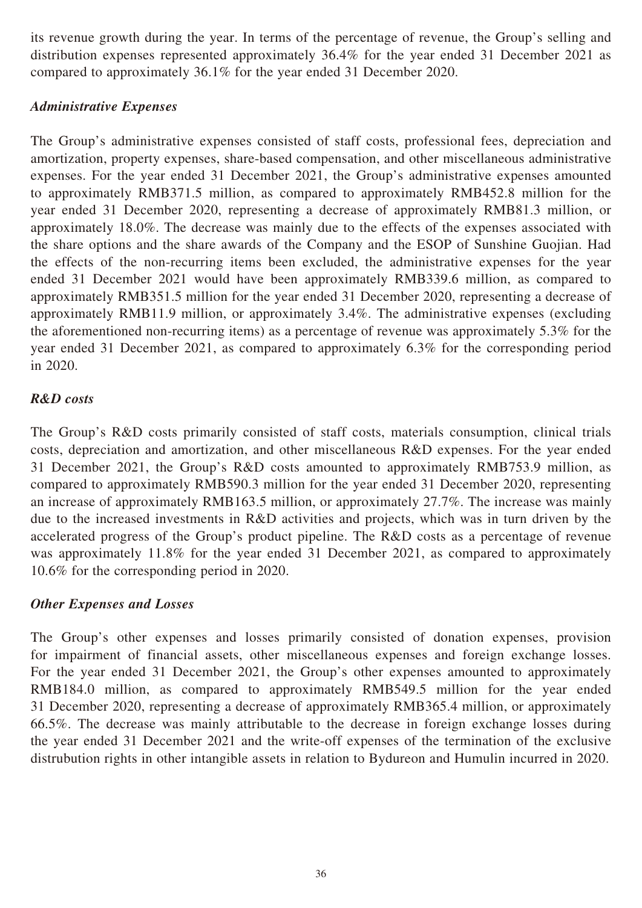its revenue growth during the year. In terms of the percentage of revenue, the Group's selling and distribution expenses represented approximately 36.4% for the year ended 31 December 2021 as compared to approximately 36.1% for the year ended 31 December 2020.

## *Administrative Expenses*

The Group's administrative expenses consisted of staff costs, professional fees, depreciation and amortization, property expenses, share-based compensation, and other miscellaneous administrative expenses. For the year ended 31 December 2021, the Group's administrative expenses amounted to approximately RMB371.5 million, as compared to approximately RMB452.8 million for the year ended 31 December 2020, representing a decrease of approximately RMB81.3 million, or approximately 18.0%. The decrease was mainly due to the effects of the expenses associated with the share options and the share awards of the Company and the ESOP of Sunshine Guojian. Had the effects of the non-recurring items been excluded, the administrative expenses for the year ended 31 December 2021 would have been approximately RMB339.6 million, as compared to approximately RMB351.5 million for the year ended 31 December 2020, representing a decrease of approximately RMB11.9 million, or approximately 3.4%. The administrative expenses (excluding the aforementioned non-recurring items) as a percentage of revenue was approximately 5.3% for the year ended 31 December 2021, as compared to approximately 6.3% for the corresponding period in 2020.

## *R&D costs*

The Group's R&D costs primarily consisted of staff costs, materials consumption, clinical trials costs, depreciation and amortization, and other miscellaneous R&D expenses. For the year ended 31 December 2021, the Group's R&D costs amounted to approximately RMB753.9 million, as compared to approximately RMB590.3 million for the year ended 31 December 2020, representing an increase of approximately RMB163.5 million, or approximately 27.7%. The increase was mainly due to the increased investments in R&D activities and projects, which was in turn driven by the accelerated progress of the Group's product pipeline. The R&D costs as a percentage of revenue was approximately 11.8% for the year ended 31 December 2021, as compared to approximately 10.6% for the corresponding period in 2020.

## *Other Expenses and Losses*

The Group's other expenses and losses primarily consisted of donation expenses, provision for impairment of financial assets, other miscellaneous expenses and foreign exchange losses. For the year ended 31 December 2021, the Group's other expenses amounted to approximately RMB184.0 million, as compared to approximately RMB549.5 million for the year ended 31 December 2020, representing a decrease of approximately RMB365.4 million, or approximately 66.5%. The decrease was mainly attributable to the decrease in foreign exchange losses during the year ended 31 December 2021 and the write-off expenses of the termination of the exclusive distrubution rights in other intangible assets in relation to Bydureon and Humulin incurred in 2020.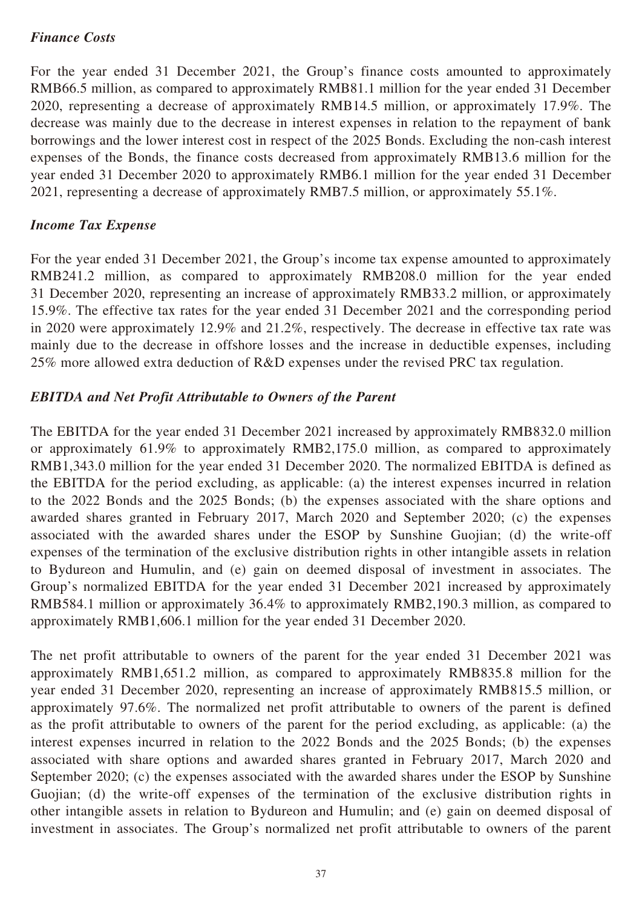### *Finance Costs*

For the year ended 31 December 2021, the Group's finance costs amounted to approximately RMB66.5 million, as compared to approximately RMB81.1 million for the year ended 31 December 2020, representing a decrease of approximately RMB14.5 million, or approximately 17.9%. The decrease was mainly due to the decrease in interest expenses in relation to the repayment of bank borrowings and the lower interest cost in respect of the 2025 Bonds. Excluding the non-cash interest expenses of the Bonds, the finance costs decreased from approximately RMB13.6 million for the year ended 31 December 2020 to approximately RMB6.1 million for the year ended 31 December 2021, representing a decrease of approximately RMB7.5 million, or approximately 55.1%.

### *Income Tax Expense*

For the year ended 31 December 2021, the Group's income tax expense amounted to approximately RMB241.2 million, as compared to approximately RMB208.0 million for the year ended 31 December 2020, representing an increase of approximately RMB33.2 million, or approximately 15.9%. The effective tax rates for the year ended 31 December 2021 and the corresponding period in 2020 were approximately 12.9% and 21.2%, respectively. The decrease in effective tax rate was mainly due to the decrease in offshore losses and the increase in deductible expenses, including 25% more allowed extra deduction of R&D expenses under the revised PRC tax regulation.

## *EBITDA and Net Profit Attributable to Owners of the Parent*

The EBITDA for the year ended 31 December 2021 increased by approximately RMB832.0 million or approximately 61.9% to approximately RMB2,175.0 million, as compared to approximately RMB1,343.0 million for the year ended 31 December 2020. The normalized EBITDA is defined as the EBITDA for the period excluding, as applicable: (a) the interest expenses incurred in relation to the 2022 Bonds and the 2025 Bonds; (b) the expenses associated with the share options and awarded shares granted in February 2017, March 2020 and September 2020; (c) the expenses associated with the awarded shares under the ESOP by Sunshine Guojian; (d) the write-off expenses of the termination of the exclusive distribution rights in other intangible assets in relation to Bydureon and Humulin, and (e) gain on deemed disposal of investment in associates. The Group's normalized EBITDA for the year ended 31 December 2021 increased by approximately RMB584.1 million or approximately 36.4% to approximately RMB2,190.3 million, as compared to approximately RMB1,606.1 million for the year ended 31 December 2020.

The net profit attributable to owners of the parent for the year ended 31 December 2021 was approximately RMB1,651.2 million, as compared to approximately RMB835.8 million for the year ended 31 December 2020, representing an increase of approximately RMB815.5 million, or approximately 97.6%. The normalized net profit attributable to owners of the parent is defined as the profit attributable to owners of the parent for the period excluding, as applicable: (a) the interest expenses incurred in relation to the 2022 Bonds and the 2025 Bonds; (b) the expenses associated with share options and awarded shares granted in February 2017, March 2020 and September 2020; (c) the expenses associated with the awarded shares under the ESOP by Sunshine Guojian; (d) the write-off expenses of the termination of the exclusive distribution rights in other intangible assets in relation to Bydureon and Humulin; and (e) gain on deemed disposal of investment in associates. The Group's normalized net profit attributable to owners of the parent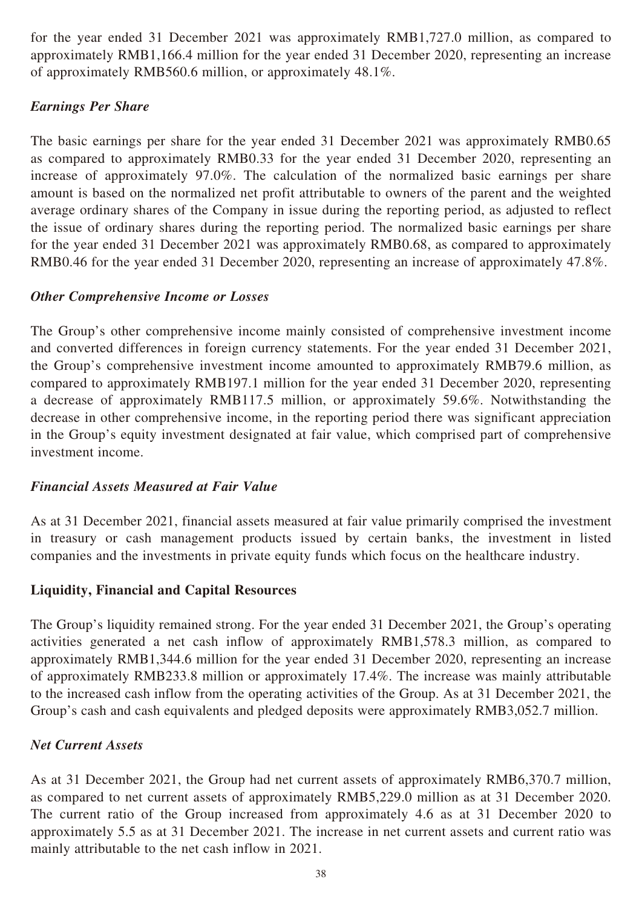for the year ended 31 December 2021 was approximately RMB1,727.0 million, as compared to approximately RMB1,166.4 million for the year ended 31 December 2020, representing an increase of approximately RMB560.6 million, or approximately 48.1%.

## *Earnings Per Share*

The basic earnings per share for the year ended 31 December 2021 was approximately RMB0.65 as compared to approximately RMB0.33 for the year ended 31 December 2020, representing an increase of approximately 97.0%. The calculation of the normalized basic earnings per share amount is based on the normalized net profit attributable to owners of the parent and the weighted average ordinary shares of the Company in issue during the reporting period, as adjusted to reflect the issue of ordinary shares during the reporting period. The normalized basic earnings per share for the year ended 31 December 2021 was approximately RMB0.68, as compared to approximately RMB0.46 for the year ended 31 December 2020, representing an increase of approximately 47.8%.

## *Other Comprehensive Income or Losses*

The Group's other comprehensive income mainly consisted of comprehensive investment income and converted differences in foreign currency statements. For the year ended 31 December 2021, the Group's comprehensive investment income amounted to approximately RMB79.6 million, as compared to approximately RMB197.1 million for the year ended 31 December 2020, representing a decrease of approximately RMB117.5 million, or approximately 59.6%. Notwithstanding the decrease in other comprehensive income, in the reporting period there was significant appreciation in the Group's equity investment designated at fair value, which comprised part of comprehensive investment income.

## *Financial Assets Measured at Fair Value*

As at 31 December 2021, financial assets measured at fair value primarily comprised the investment in treasury or cash management products issued by certain banks, the investment in listed companies and the investments in private equity funds which focus on the healthcare industry.

## **Liquidity, Financial and Capital Resources**

The Group's liquidity remained strong. For the year ended 31 December 2021, the Group's operating activities generated a net cash inflow of approximately RMB1,578.3 million, as compared to approximately RMB1,344.6 million for the year ended 31 December 2020, representing an increase of approximately RMB233.8 million or approximately 17.4%. The increase was mainly attributable to the increased cash inflow from the operating activities of the Group. As at 31 December 2021, the Group's cash and cash equivalents and pledged deposits were approximately RMB3,052.7 million.

## *Net Current Assets*

As at 31 December 2021, the Group had net current assets of approximately RMB6,370.7 million, as compared to net current assets of approximately RMB5,229.0 million as at 31 December 2020. The current ratio of the Group increased from approximately 4.6 as at 31 December 2020 to approximately 5.5 as at 31 December 2021. The increase in net current assets and current ratio was mainly attributable to the net cash inflow in 2021.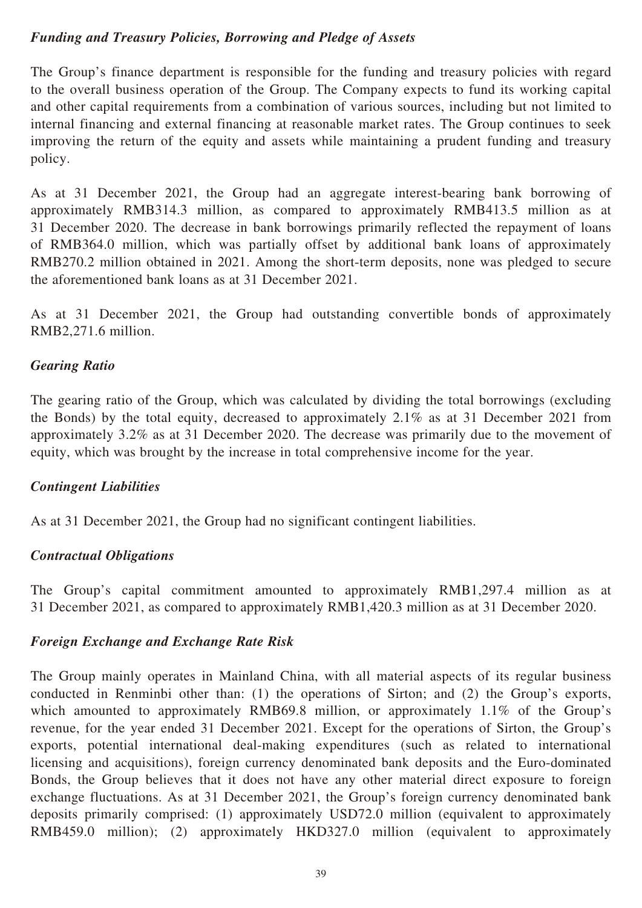### *Funding and Treasury Policies, Borrowing and Pledge of Assets*

The Group's finance department is responsible for the funding and treasury policies with regard to the overall business operation of the Group. The Company expects to fund its working capital and other capital requirements from a combination of various sources, including but not limited to internal financing and external financing at reasonable market rates. The Group continues to seek improving the return of the equity and assets while maintaining a prudent funding and treasury policy.

As at 31 December 2021, the Group had an aggregate interest-bearing bank borrowing of approximately RMB314.3 million, as compared to approximately RMB413.5 million as at 31 December 2020. The decrease in bank borrowings primarily reflected the repayment of loans of RMB364.0 million, which was partially offset by additional bank loans of approximately RMB270.2 million obtained in 2021. Among the short-term deposits, none was pledged to secure the aforementioned bank loans as at 31 December 2021.

As at 31 December 2021, the Group had outstanding convertible bonds of approximately RMB2,271.6 million.

#### *Gearing Ratio*

The gearing ratio of the Group, which was calculated by dividing the total borrowings (excluding the Bonds) by the total equity, decreased to approximately 2.1% as at 31 December 2021 from approximately 3.2% as at 31 December 2020. The decrease was primarily due to the movement of equity, which was brought by the increase in total comprehensive income for the year.

#### *Contingent Liabilities*

As at 31 December 2021, the Group had no significant contingent liabilities.

#### *Contractual Obligations*

The Group's capital commitment amounted to approximately RMB1,297.4 million as at 31 December 2021, as compared to approximately RMB1,420.3 million as at 31 December 2020.

#### *Foreign Exchange and Exchange Rate Risk*

The Group mainly operates in Mainland China, with all material aspects of its regular business conducted in Renminbi other than: (1) the operations of Sirton; and (2) the Group's exports, which amounted to approximately RMB69.8 million, or approximately 1.1% of the Group's revenue, for the year ended 31 December 2021. Except for the operations of Sirton, the Group's exports, potential international deal-making expenditures (such as related to international licensing and acquisitions), foreign currency denominated bank deposits and the Euro-dominated Bonds, the Group believes that it does not have any other material direct exposure to foreign exchange fluctuations. As at 31 December 2021, the Group's foreign currency denominated bank deposits primarily comprised: (1) approximately USD72.0 million (equivalent to approximately RMB459.0 million); (2) approximately HKD327.0 million (equivalent to approximately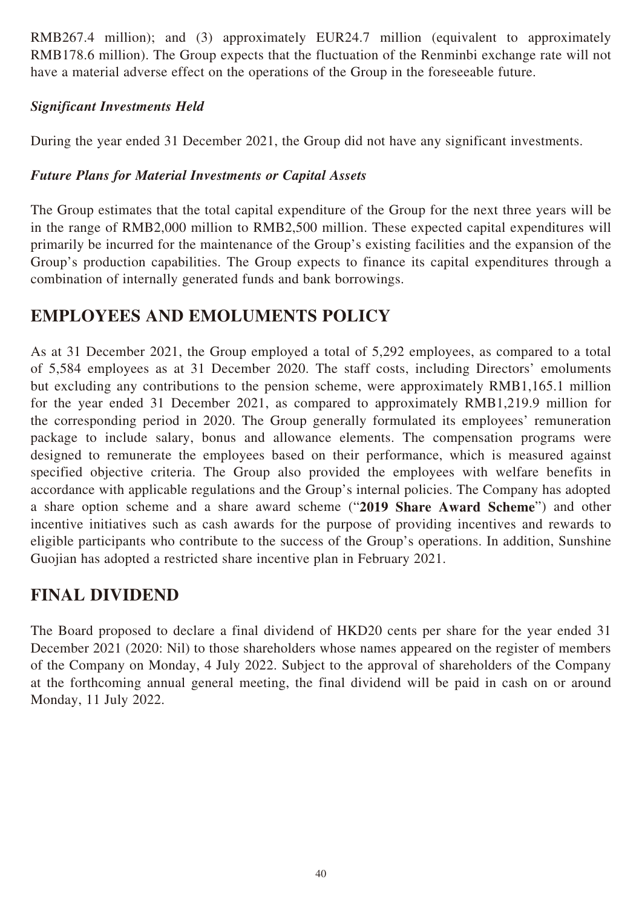RMB267.4 million); and (3) approximately EUR24.7 million (equivalent to approximately RMB178.6 million). The Group expects that the fluctuation of the Renminbi exchange rate will not have a material adverse effect on the operations of the Group in the foreseeable future.

## *Significant Investments Held*

During the year ended 31 December 2021, the Group did not have any significant investments.

## *Future Plans for Material Investments or Capital Assets*

The Group estimates that the total capital expenditure of the Group for the next three years will be in the range of RMB2,000 million to RMB2,500 million. These expected capital expenditures will primarily be incurred for the maintenance of the Group's existing facilities and the expansion of the Group's production capabilities. The Group expects to finance its capital expenditures through a combination of internally generated funds and bank borrowings.

# **EMPLOYEES AND EMOLUMENTS POLICY**

As at 31 December 2021, the Group employed a total of 5,292 employees, as compared to a total of 5,584 employees as at 31 December 2020. The staff costs, including Directors' emoluments but excluding any contributions to the pension scheme, were approximately RMB1,165.1 million for the year ended 31 December 2021, as compared to approximately RMB1,219.9 million for the corresponding period in 2020. The Group generally formulated its employees' remuneration package to include salary, bonus and allowance elements. The compensation programs were designed to remunerate the employees based on their performance, which is measured against specified objective criteria. The Group also provided the employees with welfare benefits in accordance with applicable regulations and the Group's internal policies. The Company has adopted a share option scheme and a share award scheme ("**2019 Share Award Scheme**") and other incentive initiatives such as cash awards for the purpose of providing incentives and rewards to eligible participants who contribute to the success of the Group's operations. In addition, Sunshine Guojian has adopted a restricted share incentive plan in February 2021.

# **FINAL DIVIDEND**

The Board proposed to declare a final dividend of HKD20 cents per share for the year ended 31 December 2021 (2020: Nil) to those shareholders whose names appeared on the register of members of the Company on Monday, 4 July 2022. Subject to the approval of shareholders of the Company at the forthcoming annual general meeting, the final dividend will be paid in cash on or around Monday, 11 July 2022.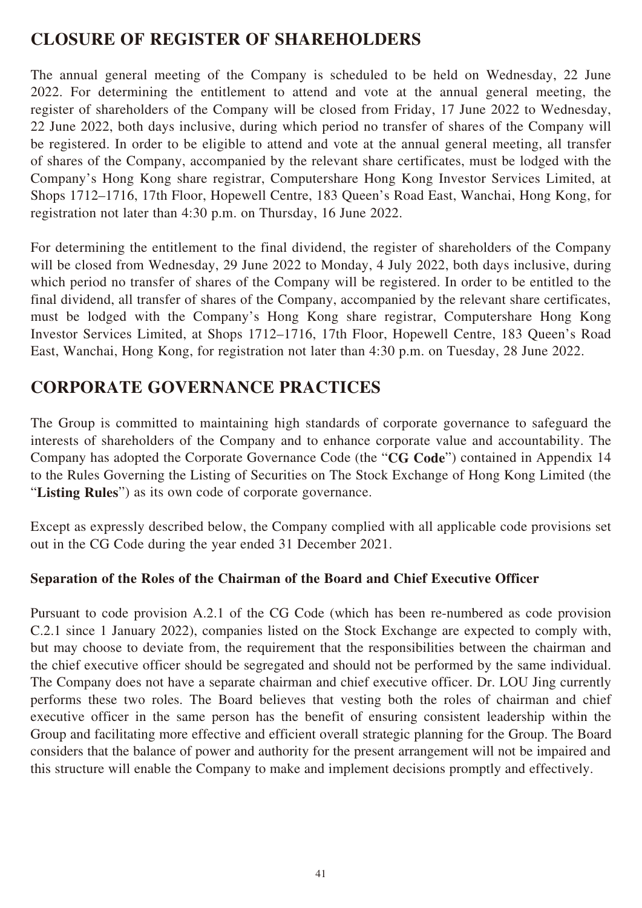# **CLOSURE OF REGISTER OF SHAREHOLDERS**

The annual general meeting of the Company is scheduled to be held on Wednesday, 22 June 2022. For determining the entitlement to attend and vote at the annual general meeting, the register of shareholders of the Company will be closed from Friday, 17 June 2022 to Wednesday, 22 June 2022, both days inclusive, during which period no transfer of shares of the Company will be registered. In order to be eligible to attend and vote at the annual general meeting, all transfer of shares of the Company, accompanied by the relevant share certificates, must be lodged with the Company's Hong Kong share registrar, Computershare Hong Kong Investor Services Limited, at Shops 1712–1716, 17th Floor, Hopewell Centre, 183 Queen's Road East, Wanchai, Hong Kong, for registration not later than 4:30 p.m. on Thursday, 16 June 2022.

For determining the entitlement to the final dividend, the register of shareholders of the Company will be closed from Wednesday, 29 June 2022 to Monday, 4 July 2022, both days inclusive, during which period no transfer of shares of the Company will be registered. In order to be entitled to the final dividend, all transfer of shares of the Company, accompanied by the relevant share certificates, must be lodged with the Company's Hong Kong share registrar, Computershare Hong Kong Investor Services Limited, at Shops 1712–1716, 17th Floor, Hopewell Centre, 183 Queen's Road East, Wanchai, Hong Kong, for registration not later than 4:30 p.m. on Tuesday, 28 June 2022.

# **CORPORATE GOVERNANCE PRACTICES**

The Group is committed to maintaining high standards of corporate governance to safeguard the interests of shareholders of the Company and to enhance corporate value and accountability. The Company has adopted the Corporate Governance Code (the "**CG Code**") contained in Appendix 14 to the Rules Governing the Listing of Securities on The Stock Exchange of Hong Kong Limited (the "**Listing Rules**") as its own code of corporate governance.

Except as expressly described below, the Company complied with all applicable code provisions set out in the CG Code during the year ended 31 December 2021.

## **Separation of the Roles of the Chairman of the Board and Chief Executive Officer**

Pursuant to code provision A.2.1 of the CG Code (which has been re-numbered as code provision C.2.1 since 1 January 2022), companies listed on the Stock Exchange are expected to comply with, but may choose to deviate from, the requirement that the responsibilities between the chairman and the chief executive officer should be segregated and should not be performed by the same individual. The Company does not have a separate chairman and chief executive officer. Dr. LOU Jing currently performs these two roles. The Board believes that vesting both the roles of chairman and chief executive officer in the same person has the benefit of ensuring consistent leadership within the Group and facilitating more effective and efficient overall strategic planning for the Group. The Board considers that the balance of power and authority for the present arrangement will not be impaired and this structure will enable the Company to make and implement decisions promptly and effectively.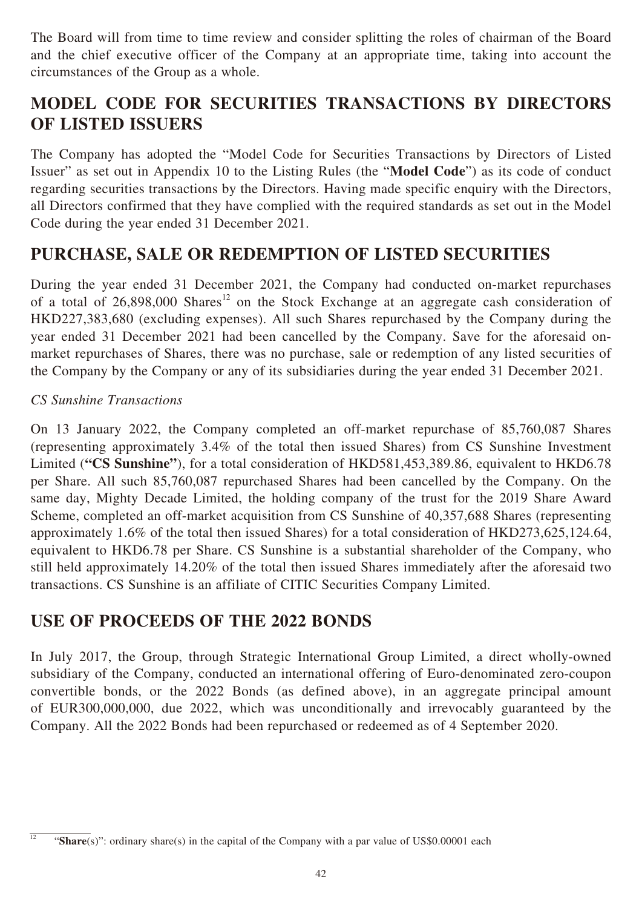The Board will from time to time review and consider splitting the roles of chairman of the Board and the chief executive officer of the Company at an appropriate time, taking into account the circumstances of the Group as a whole.

# **MODEL CODE FOR SECURITIES TRANSACTIONS BY DIRECTORS OF LISTED ISSUERS**

The Company has adopted the "Model Code for Securities Transactions by Directors of Listed Issuer" as set out in Appendix 10 to the Listing Rules (the "**Model Code**") as its code of conduct regarding securities transactions by the Directors. Having made specific enquiry with the Directors, all Directors confirmed that they have complied with the required standards as set out in the Model Code during the year ended 31 December 2021.

# **PURCHASE, SALE OR REDEMPTION OF LISTED SECURITIES**

During the year ended 31 December 2021, the Company had conducted on-market repurchases of a total of  $26,898,000$  Shares<sup>12</sup> on the Stock Exchange at an aggregate cash consideration of HKD227,383,680 (excluding expenses). All such Shares repurchased by the Company during the year ended 31 December 2021 had been cancelled by the Company. Save for the aforesaid onmarket repurchases of Shares, there was no purchase, sale or redemption of any listed securities of the Company by the Company or any of its subsidiaries during the year ended 31 December 2021.

### *CS Sunshine Transactions*

On 13 January 2022, the Company completed an off-market repurchase of 85,760,087 Shares (representing approximately 3.4% of the total then issued Shares) from CS Sunshine Investment Limited (**"CS Sunshine"**), for a total consideration of HKD581,453,389.86, equivalent to HKD6.78 per Share. All such 85,760,087 repurchased Shares had been cancelled by the Company. On the same day, Mighty Decade Limited, the holding company of the trust for the 2019 Share Award Scheme, completed an off-market acquisition from CS Sunshine of 40,357,688 Shares (representing approximately 1.6% of the total then issued Shares) for a total consideration of HKD273,625,124.64, equivalent to HKD6.78 per Share. CS Sunshine is a substantial shareholder of the Company, who still held approximately 14.20% of the total then issued Shares immediately after the aforesaid two transactions. CS Sunshine is an affiliate of CITIC Securities Company Limited.

# **USE OF PROCEEDS OF THE 2022 BONDS**

In July 2017, the Group, through Strategic International Group Limited, a direct wholly-owned subsidiary of the Company, conducted an international offering of Euro-denominated zero-coupon convertible bonds, or the 2022 Bonds (as defined above), in an aggregate principal amount of EUR300,000,000, due 2022, which was unconditionally and irrevocably guaranteed by the Company. All the 2022 Bonds had been repurchased or redeemed as of 4 September 2020.

 $\frac{12}{12}$  "Share(s)": ordinary share(s) in the capital of the Company with a par value of US\$0.00001 each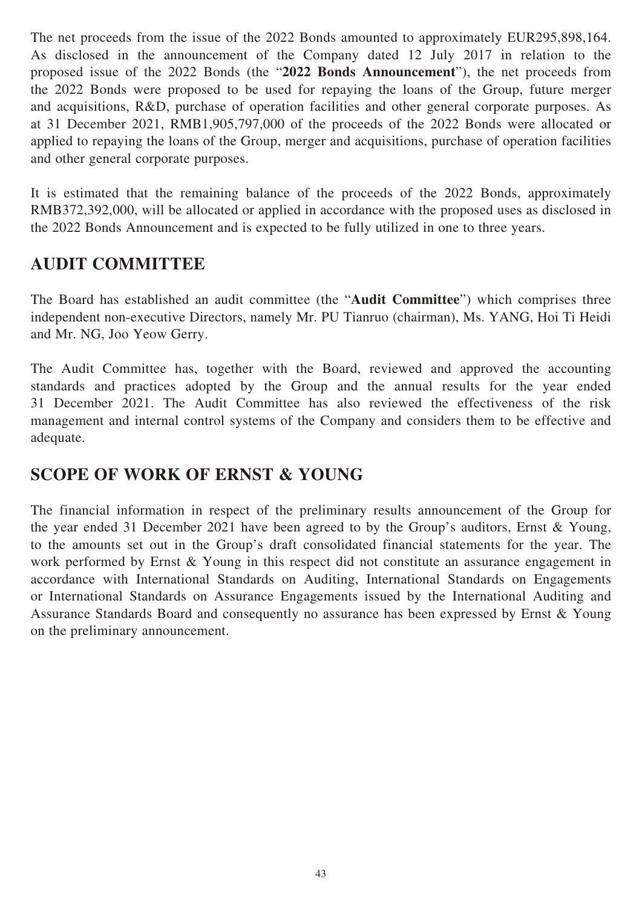The net proceeds from the issue of the 2022 Bonds amounted to approximately EUR295,898,164. As disclosed in the announcement of the Company dated 12 July 2017 in relation to the proposed issue of the 2022 Bonds (the "**2022 Bonds Announcement**"), the net proceeds from the 2022 Bonds were proposed to be used for repaying the loans of the Group, future merger and acquisitions, R&D, purchase of operation facilities and other general corporate purposes. As at 31 December 2021, RMB1,905,797,000 of the proceeds of the 2022 Bonds were allocated or applied to repaying the loans of the Group, merger and acquisitions, purchase of operation facilities and other general corporate purposes.

It is estimated that the remaining balance of the proceeds of the 2022 Bonds, approximately RMB372,392,000, will be allocated or applied in accordance with the proposed uses as disclosed in the 2022 Bonds Announcement and is expected to be fully utilized in one to three years.

# **AUDIT COMMITTEE**

The Board has established an audit committee (the "**Audit Committee**") which comprises three independent non-executive Directors, namely Mr. PU Tianruo (chairman), Ms. YANG, Hoi Ti Heidi and Mr. NG, Joo Yeow Gerry.

The Audit Committee has, together with the Board, reviewed and approved the accounting standards and practices adopted by the Group and the annual results for the year ended 31 December 2021. The Audit Committee has also reviewed the effectiveness of the risk management and internal control systems of the Company and considers them to be effective and adequate.

# **SCOPE OF WORK OF ERNST & YOUNG**

The financial information in respect of the preliminary results announcement of the Group for the year ended 31 December 2021 have been agreed to by the Group's auditors, Ernst & Young, to the amounts set out in the Group's draft consolidated financial statements for the year. The work performed by Ernst & Young in this respect did not constitute an assurance engagement in accordance with International Standards on Auditing, International Standards on Engagements or International Standards on Assurance Engagements issued by the International Auditing and Assurance Standards Board and consequently no assurance has been expressed by Ernst & Young on the preliminary announcement.